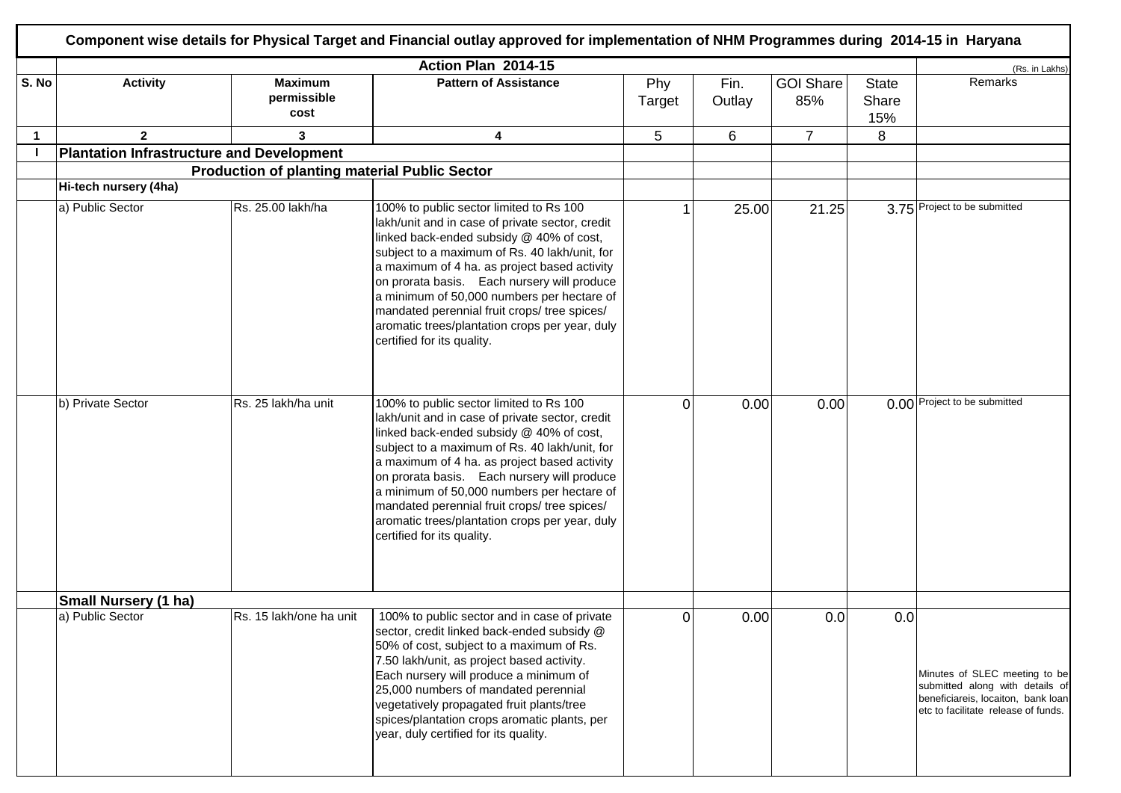|             |                                                  |                                                      | Action Plan 2014-15                                                                                                                                                                                                                                                                                                                                                                                                                                                  |                |                |                         |                       | (Rs. in Lakhs)                                                                                                                                |
|-------------|--------------------------------------------------|------------------------------------------------------|----------------------------------------------------------------------------------------------------------------------------------------------------------------------------------------------------------------------------------------------------------------------------------------------------------------------------------------------------------------------------------------------------------------------------------------------------------------------|----------------|----------------|-------------------------|-----------------------|-----------------------------------------------------------------------------------------------------------------------------------------------|
| S. No       | <b>Activity</b>                                  | <b>Maximum</b><br>permissible<br>cost                | <b>Pattern of Assistance</b>                                                                                                                                                                                                                                                                                                                                                                                                                                         | Phy<br>Target  | Fin.<br>Outlay | <b>GOI Share</b><br>85% | State<br>Share<br>15% | Remarks                                                                                                                                       |
| $\mathbf 1$ | $\overline{2}$                                   | 3                                                    | 4                                                                                                                                                                                                                                                                                                                                                                                                                                                                    | 5              | 6              | $\overline{7}$          | 8                     |                                                                                                                                               |
|             | <b>Plantation Infrastructure and Development</b> |                                                      |                                                                                                                                                                                                                                                                                                                                                                                                                                                                      |                |                |                         |                       |                                                                                                                                               |
|             |                                                  | <b>Production of planting material Public Sector</b> |                                                                                                                                                                                                                                                                                                                                                                                                                                                                      |                |                |                         |                       |                                                                                                                                               |
|             | Hi-tech nursery (4ha)                            |                                                      |                                                                                                                                                                                                                                                                                                                                                                                                                                                                      |                |                |                         |                       |                                                                                                                                               |
|             | a) Public Sector                                 | Rs. 25.00 lakh/ha                                    | 100% to public sector limited to Rs 100<br>lakh/unit and in case of private sector, credit<br>linked back-ended subsidy @ 40% of cost,<br>subject to a maximum of Rs. 40 lakh/unit, for<br>a maximum of 4 ha. as project based activity<br>on prorata basis. Each nursery will produce<br>a minimum of 50,000 numbers per hectare of<br>mandated perennial fruit crops/ tree spices/<br>aromatic trees/plantation crops per year, duly<br>certified for its quality. |                | 25.00          | 21.25                   |                       | 3.75 Project to be submitted                                                                                                                  |
|             | b) Private Sector                                | Rs. 25 lakh/ha unit                                  | 100% to public sector limited to Rs 100<br>lakh/unit and in case of private sector, credit<br>linked back-ended subsidy @ 40% of cost,<br>subject to a maximum of Rs. 40 lakh/unit, for<br>a maximum of 4 ha. as project based activity<br>on prorata basis. Each nursery will produce<br>a minimum of 50,000 numbers per hectare of<br>mandated perennial fruit crops/ tree spices/<br>aromatic trees/plantation crops per year, duly<br>certified for its quality. | 0              | 0.00           | 0.00                    |                       | 0.00 Project to be submitted                                                                                                                  |
|             | <b>Small Nursery (1 ha)</b>                      |                                                      |                                                                                                                                                                                                                                                                                                                                                                                                                                                                      |                |                |                         |                       |                                                                                                                                               |
|             | a) Public Sector                                 | Rs. 15 lakh/one ha unit                              | 100% to public sector and in case of private<br>sector, credit linked back-ended subsidy @<br>50% of cost, subject to a maximum of Rs.<br>7.50 lakh/unit, as project based activity.<br>Each nursery will produce a minimum of<br>25,000 numbers of mandated perennial<br>vegetatively propagated fruit plants/tree<br>spices/plantation crops aromatic plants, per<br>year, duly certified for its quality.                                                         | $\overline{0}$ | 0.00           | 0.0                     | 0.0                   | Minutes of SLEC meeting to be<br>submitted along with details of<br>beneficiareis, locaiton, bank loan<br>etc to facilitate release of funds. |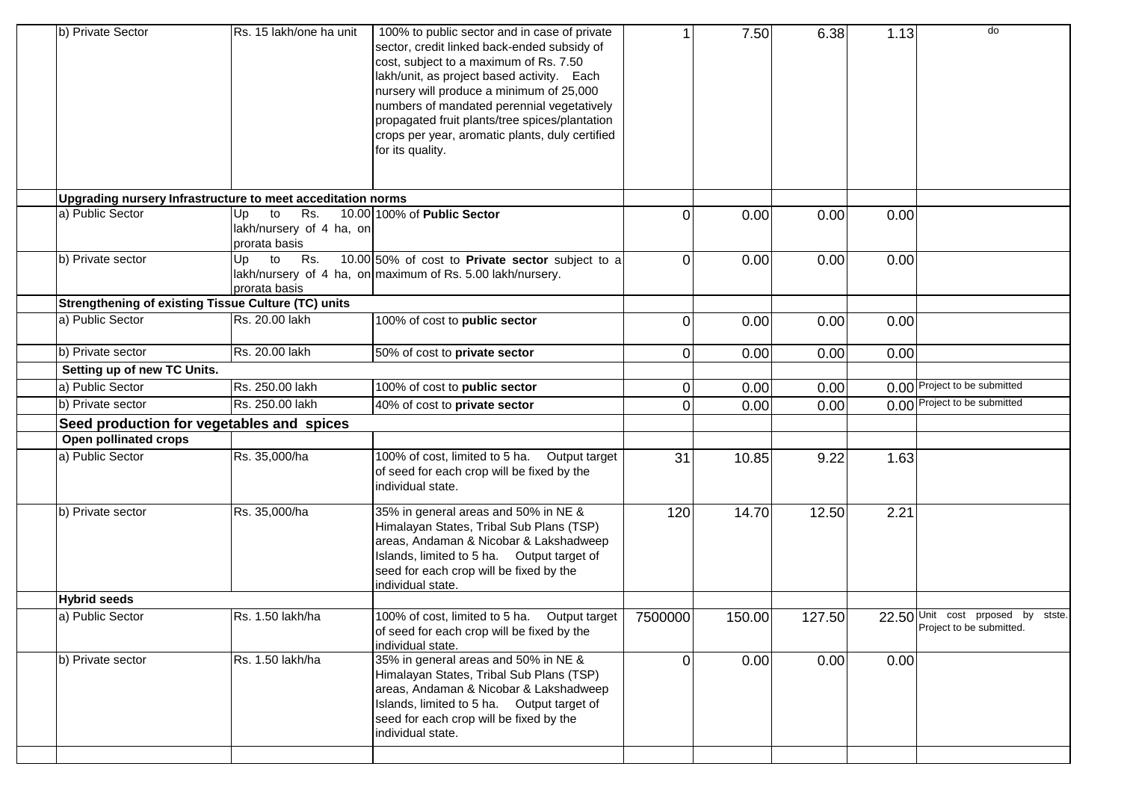| b) Private Sector                                           | Rs. 15 lakh/one ha unit                                      | 100% to public sector and in case of private<br>sector, credit linked back-ended subsidy of<br>cost, subject to a maximum of Rs. 7.50<br>lakh/unit, as project based activity. Each<br>nursery will produce a minimum of 25,000<br>numbers of mandated perennial vegetatively<br>propagated fruit plants/tree spices/plantation<br>crops per year, aromatic plants, duly certified<br>for its quality. |          | 7.50   | 6.38   | 1.13 | do                                                                    |
|-------------------------------------------------------------|--------------------------------------------------------------|--------------------------------------------------------------------------------------------------------------------------------------------------------------------------------------------------------------------------------------------------------------------------------------------------------------------------------------------------------------------------------------------------------|----------|--------|--------|------|-----------------------------------------------------------------------|
| Upgrading nursery Infrastructure to meet acceditation norms |                                                              |                                                                                                                                                                                                                                                                                                                                                                                                        |          |        |        |      |                                                                       |
| a) Public Sector                                            | Rs.<br>to<br>Up<br>lakh/nursery of 4 ha, on<br>prorata basis | 10.00 100% of Public Sector                                                                                                                                                                                                                                                                                                                                                                            | 0        | 0.00   | 0.00   | 0.00 |                                                                       |
| b) Private sector                                           | Up<br>to<br>Rs.<br>prorata basis                             | 10.00 50% of cost to Private sector subject to a<br>lakh/nursery of 4 ha, on maximum of Rs. 5.00 lakh/nursery.                                                                                                                                                                                                                                                                                         | $\Omega$ | 0.00   | 0.00   | 0.00 |                                                                       |
| Strengthening of existing Tissue Culture (TC) units         |                                                              |                                                                                                                                                                                                                                                                                                                                                                                                        |          |        |        |      |                                                                       |
| a) Public Sector                                            | Rs. 20.00 lakh                                               | 100% of cost to public sector                                                                                                                                                                                                                                                                                                                                                                          | $\Omega$ | 0.00   | 0.00   | 0.00 |                                                                       |
| b) Private sector                                           | Rs. 20.00 lakh                                               | 50% of cost to private sector                                                                                                                                                                                                                                                                                                                                                                          | 0        | 0.00   | 0.00   | 0.00 |                                                                       |
| Setting up of new TC Units.                                 |                                                              |                                                                                                                                                                                                                                                                                                                                                                                                        |          |        |        |      |                                                                       |
| a) Public Sector                                            | Rs. 250.00 lakh                                              | 100% of cost to public sector                                                                                                                                                                                                                                                                                                                                                                          | 0        | 0.00   | 0.00   |      | 0.00 Project to be submitted                                          |
| b) Private sector                                           | Rs. 250.00 lakh                                              | 40% of cost to private sector                                                                                                                                                                                                                                                                                                                                                                          | 0        | 0.00   | 0.00   |      | 0.00 Project to be submitted                                          |
| Seed production for vegetables and spices                   |                                                              |                                                                                                                                                                                                                                                                                                                                                                                                        |          |        |        |      |                                                                       |
| Open pollinated crops                                       |                                                              |                                                                                                                                                                                                                                                                                                                                                                                                        |          |        |        |      |                                                                       |
| a) Public Sector                                            | Rs. 35,000/ha                                                | 100% of cost, limited to 5 ha. Output target<br>of seed for each crop will be fixed by the<br>individual state.                                                                                                                                                                                                                                                                                        | 31       | 10.85  | 9.22   | 1.63 |                                                                       |
| b) Private sector                                           | Rs. 35,000/ha                                                | 35% in general areas and 50% in NE &<br>Himalayan States, Tribal Sub Plans (TSP)<br>areas, Andaman & Nicobar & Lakshadweep<br>Islands, limited to 5 ha. Output target of<br>seed for each crop will be fixed by the<br>individual state.                                                                                                                                                               | 120      | 14.70  | 12.50  | 2.21 |                                                                       |
| <b>Hybrid seeds</b>                                         |                                                              |                                                                                                                                                                                                                                                                                                                                                                                                        |          |        |        |      |                                                                       |
| a) Public Sector                                            | Rs. 1.50 lakh/ha                                             | 100% of cost, limited to 5 ha.<br>Output target<br>of seed for each crop will be fixed by the<br>individual state.                                                                                                                                                                                                                                                                                     | 7500000  | 150.00 | 127.50 |      | $22.50$ Unit cost<br>prposed<br>by stste.<br>Project to be submitted. |
| b) Private sector                                           | Rs. 1.50 lakh/ha                                             | 35% in general areas and 50% in NE &<br>Himalayan States, Tribal Sub Plans (TSP)<br>areas, Andaman & Nicobar & Lakshadweep<br>Islands, limited to 5 ha. Output target of<br>seed for each crop will be fixed by the<br>individual state.                                                                                                                                                               | $\Omega$ | 0.00   | 0.00   | 0.00 |                                                                       |
|                                                             |                                                              |                                                                                                                                                                                                                                                                                                                                                                                                        |          |        |        |      |                                                                       |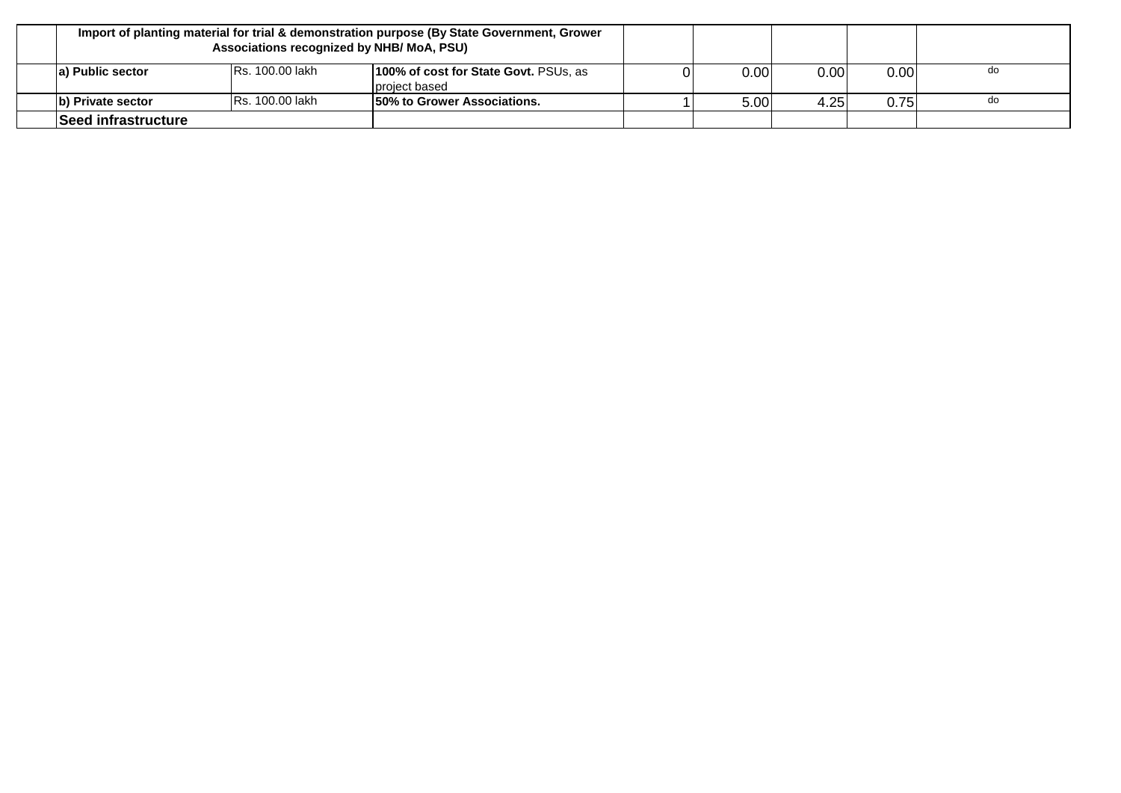|                     | Associations recognized by NHB/ MoA, PSU) | Import of planting material for trial & demonstration purpose (By State Government, Grower |      |      |                   |    |
|---------------------|-------------------------------------------|--------------------------------------------------------------------------------------------|------|------|-------------------|----|
| a) Public sector    | <b>IRs. 100.00 lakh</b>                   | 100% of cost for State Govt. PSUs, as<br>project based                                     | 0.00 | 0.00 | 0.00 <sub>l</sub> | do |
| b) Private sector   | <b>IRs. 100.00 lakh</b>                   | 150% to Grower Associations.                                                               | 5.00 | 4.25 | 0.75              | do |
| Seed infrastructure |                                           |                                                                                            |      |      |                   |    |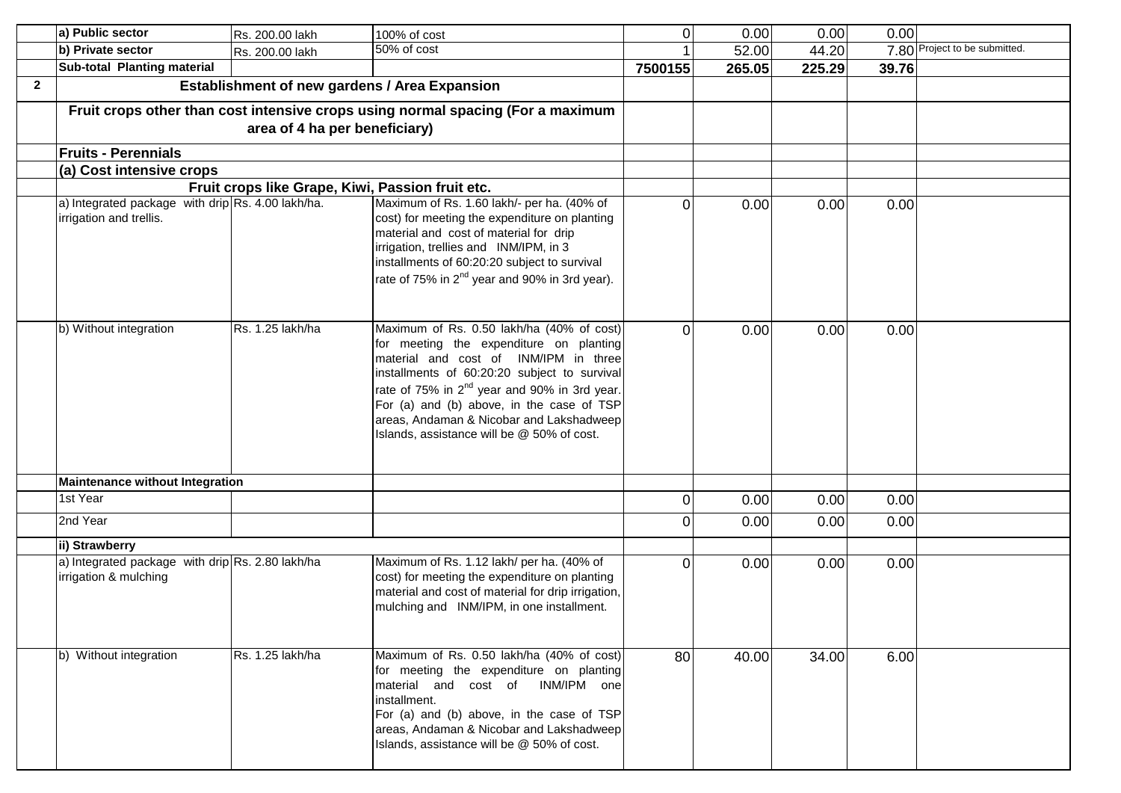|              | a) Public sector                                                             | Rs. 200.00 lakh                                  | 100% of cost                                                                                                                                                                                                                                                                                                                                                                     | $\overline{O}$ | 0.00   | 0.00   | 0.00  |                               |
|--------------|------------------------------------------------------------------------------|--------------------------------------------------|----------------------------------------------------------------------------------------------------------------------------------------------------------------------------------------------------------------------------------------------------------------------------------------------------------------------------------------------------------------------------------|----------------|--------|--------|-------|-------------------------------|
|              | b) Private sector                                                            | Rs. 200.00 lakh                                  | 50% of cost                                                                                                                                                                                                                                                                                                                                                                      |                | 52.00  | 44.20  |       | 7.80 Project to be submitted. |
|              | Sub-total Planting material                                                  |                                                  |                                                                                                                                                                                                                                                                                                                                                                                  | 7500155        | 265.05 | 225.29 | 39.76 |                               |
| $\mathbf{2}$ |                                                                              | Establishment of new gardens / Area Expansion    |                                                                                                                                                                                                                                                                                                                                                                                  |                |        |        |       |                               |
|              |                                                                              | area of 4 ha per beneficiary)                    | Fruit crops other than cost intensive crops using normal spacing (For a maximum                                                                                                                                                                                                                                                                                                  |                |        |        |       |                               |
|              | <b>Fruits - Perennials</b>                                                   |                                                  |                                                                                                                                                                                                                                                                                                                                                                                  |                |        |        |       |                               |
|              | (a) Cost intensive crops                                                     |                                                  |                                                                                                                                                                                                                                                                                                                                                                                  |                |        |        |       |                               |
|              |                                                                              | Fruit crops like Grape, Kiwi, Passion fruit etc. |                                                                                                                                                                                                                                                                                                                                                                                  |                |        |        |       |                               |
|              | a) Integrated package with drip Rs. 4.00 lakh/ha.<br>irrigation and trellis. |                                                  | Maximum of Rs. 1.60 lakh/- per ha. (40% of<br>cost) for meeting the expenditure on planting<br>material and cost of material for drip<br>irrigation, trellies and INM/IPM, in 3<br>installments of 60:20:20 subject to survival<br>rate of 75% in 2 <sup>nd</sup> year and 90% in 3rd year).                                                                                     | 0              | 0.00   | 0.00   | 0.00  |                               |
|              | b) Without integration                                                       | Rs. 1.25 lakh/ha                                 | Maximum of Rs. 0.50 lakh/ha (40% of cost)<br>for meeting the expenditure on planting<br>material and cost of INM/IPM in three<br>installments of 60:20:20 subject to survival<br>rate of 75% in 2 <sup>nd</sup> year and 90% in 3rd year.<br>For (a) and (b) above, in the case of TSP<br>areas, Andaman & Nicobar and Lakshadweep<br>Islands, assistance will be @ 50% of cost. | 0              | 0.00   | 0.00   | 0.00  |                               |
|              | <b>Maintenance without Integration</b>                                       |                                                  |                                                                                                                                                                                                                                                                                                                                                                                  |                |        |        |       |                               |
|              | 1st Year                                                                     |                                                  |                                                                                                                                                                                                                                                                                                                                                                                  | 0              | 0.00   | 0.00   | 0.00  |                               |
|              | 2nd Year                                                                     |                                                  |                                                                                                                                                                                                                                                                                                                                                                                  |                | 0.00   | 0.00   | 0.00  |                               |
|              | ii) Strawberry                                                               |                                                  |                                                                                                                                                                                                                                                                                                                                                                                  |                |        |        |       |                               |
|              | a) Integrated package with drip Rs. 2.80 lakh/ha<br>irrigation & mulching    |                                                  | Maximum of Rs. 1.12 lakh/ per ha. (40% of<br>cost) for meeting the expenditure on planting<br>material and cost of material for drip irrigation,<br>mulching and INM/IPM, in one installment.                                                                                                                                                                                    | $\Omega$       | 0.00   | 0.00   | 0.00  |                               |
|              | b) Without integration                                                       | Rs. 1.25 lakh/ha                                 | Maximum of Rs. 0.50 lakh/ha (40% of cost)<br>for meeting the expenditure on planting<br>material and cost of INM/IPM one<br>installment.<br>For (a) and (b) above, in the case of TSP<br>areas, Andaman & Nicobar and Lakshadweep<br>Islands, assistance will be @ 50% of cost.                                                                                                  | 80             | 40.00  | 34.00  | 6.00  |                               |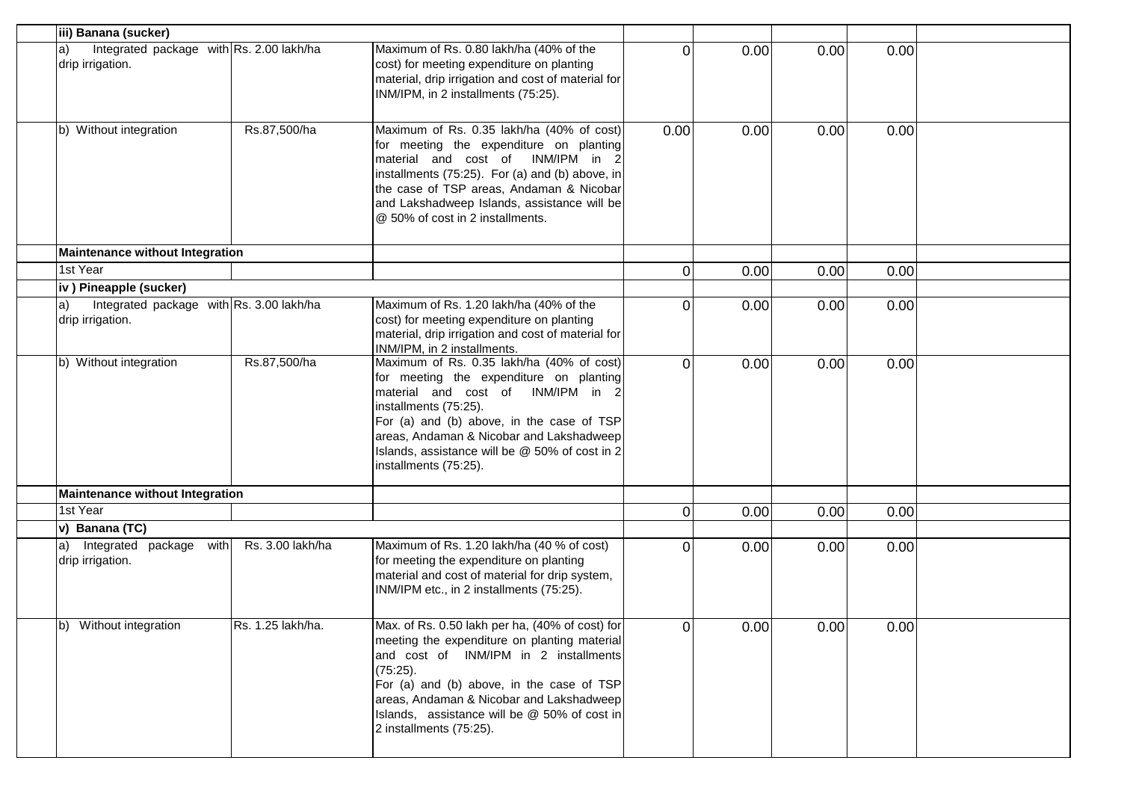| iii) Banana (sucker)                                               |                   |                                                                                                                                                                                                                                                                                                                          |                |      |      |      |  |
|--------------------------------------------------------------------|-------------------|--------------------------------------------------------------------------------------------------------------------------------------------------------------------------------------------------------------------------------------------------------------------------------------------------------------------------|----------------|------|------|------|--|
| Integrated package with Rs. 2.00 lakh/ha<br>a)<br>drip irrigation. |                   | Maximum of Rs. 0.80 lakh/ha (40% of the<br>cost) for meeting expenditure on planting<br>material, drip irrigation and cost of material for<br>INM/IPM, in 2 installments (75:25).                                                                                                                                        | $\Omega$       | 0.00 | 0.00 | 0.00 |  |
| b) Without integration                                             | Rs.87,500/ha      | Maximum of Rs. 0.35 lakh/ha (40% of cost)<br>for meeting the expenditure on planting<br>material and cost of INM/IPM in 2<br>installments (75:25). For (a) and (b) above, in<br>the case of TSP areas, Andaman & Nicobar<br>and Lakshadweep Islands, assistance will be<br>@ 50% of cost in 2 installments.              | 0.00           | 0.00 | 0.00 | 0.00 |  |
| <b>Maintenance without Integration</b>                             |                   |                                                                                                                                                                                                                                                                                                                          |                |      |      |      |  |
| 1st Year                                                           |                   |                                                                                                                                                                                                                                                                                                                          | $\overline{O}$ | 0.00 | 0.00 | 0.00 |  |
| iv) Pineapple (sucker)                                             |                   |                                                                                                                                                                                                                                                                                                                          |                |      |      |      |  |
| Integrated package with Rs. 3.00 lakh/ha<br>a)<br>drip irrigation. |                   | Maximum of Rs. 1.20 lakh/ha (40% of the<br>cost) for meeting expenditure on planting<br>material, drip irrigation and cost of material for<br>INM/IPM, in 2 installments.                                                                                                                                                | $\Omega$       | 0.00 | 0.00 | 0.00 |  |
| b) Without integration                                             | Rs.87,500/ha      | Maximum of Rs. 0.35 lakh/ha (40% of cost)<br>for meeting the expenditure on planting<br>material and cost of INM/IPM in 2<br>installments (75:25).<br>For (a) and (b) above, in the case of TSP<br>areas, Andaman & Nicobar and Lakshadweep<br>Islands, assistance will be @ 50% of cost in 2<br>installments (75:25).   | $\Omega$       | 0.00 | 0.00 | 0.00 |  |
| <b>Maintenance without Integration</b>                             |                   |                                                                                                                                                                                                                                                                                                                          |                |      |      |      |  |
| 1st Year                                                           |                   |                                                                                                                                                                                                                                                                                                                          | $\Omega$       | 0.00 | 0.00 | 0.00 |  |
| v) Banana (TC)                                                     |                   |                                                                                                                                                                                                                                                                                                                          |                |      |      |      |  |
| Integrated package with<br>$ a\rangle$<br>drip irrigation.         | Rs. 3.00 lakh/ha  | Maximum of Rs. 1.20 lakh/ha (40 % of cost)<br>for meeting the expenditure on planting<br>material and cost of material for drip system,<br>INM/IPM etc., in 2 installments (75:25).                                                                                                                                      | $\Omega$       | 0.00 | 0.00 | 0.00 |  |
| Without integration<br>b)                                          | Rs. 1.25 lakh/ha. | Max. of Rs. 0.50 lakh per ha, (40% of cost) for<br>meeting the expenditure on planting material<br>and cost of INM/IPM in 2 installments<br>(75:25).<br>For (a) and (b) above, in the case of TSP<br>areas, Andaman & Nicobar and Lakshadweep<br>Islands, assistance will be @ 50% of cost in<br>2 installments (75:25). | 01             | 0.00 | 0.00 | 0.00 |  |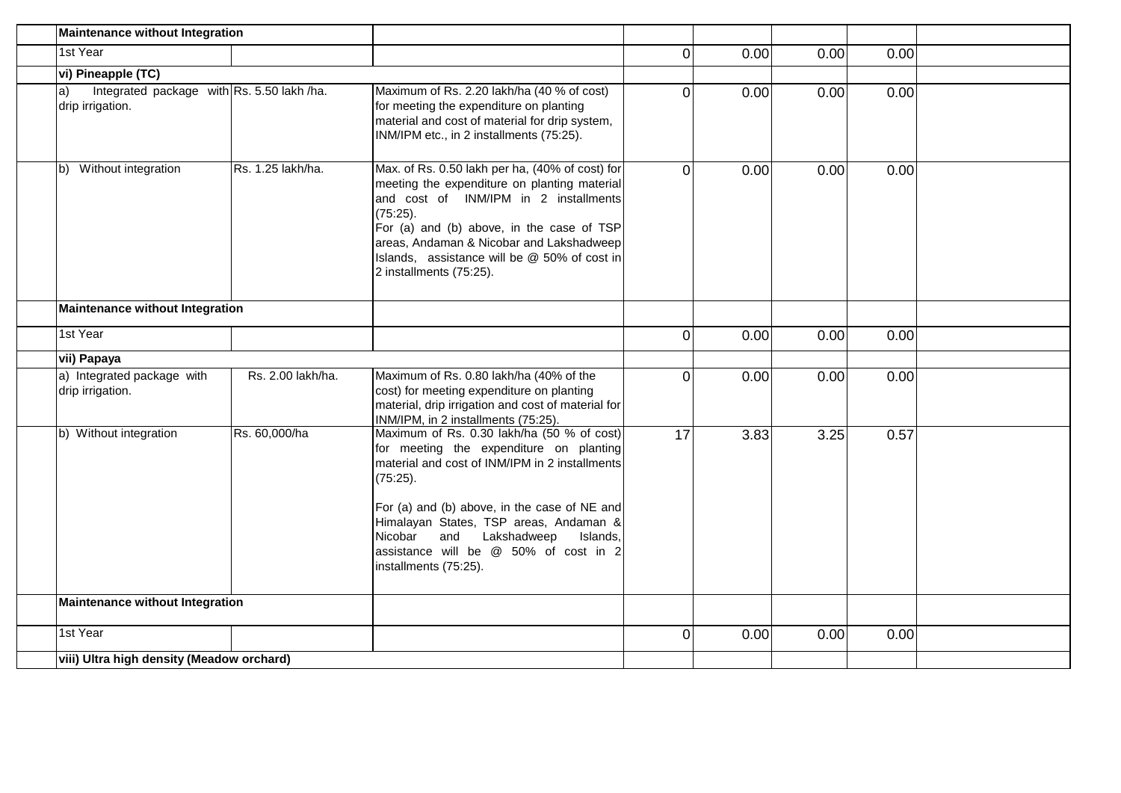| Maintenance without Integration                                      |                   |                                                                                                                                                                                                                                                                                                                                                           |          |      |      |      |  |
|----------------------------------------------------------------------|-------------------|-----------------------------------------------------------------------------------------------------------------------------------------------------------------------------------------------------------------------------------------------------------------------------------------------------------------------------------------------------------|----------|------|------|------|--|
| 1st Year                                                             |                   |                                                                                                                                                                                                                                                                                                                                                           | 0        | 0.00 | 0.00 | 0.00 |  |
| vi) Pineapple (TC)                                                   |                   |                                                                                                                                                                                                                                                                                                                                                           |          |      |      |      |  |
| Integrated package with Rs. 5.50 lakh /ha.<br>a)<br>drip irrigation. |                   | Maximum of Rs. 2.20 lakh/ha (40 % of cost)<br>for meeting the expenditure on planting<br>material and cost of material for drip system,<br>INM/IPM etc., in 2 installments (75:25).                                                                                                                                                                       | 0        | 0.00 | 0.00 | 0.00 |  |
| Without integration<br>lb)                                           | Rs. 1.25 lakh/ha. | Max. of Rs. 0.50 lakh per ha, (40% of cost) for<br>meeting the expenditure on planting material<br>and cost of INM/IPM in 2 installments<br>(75:25).<br>For (a) and (b) above, in the case of TSP<br>areas, Andaman & Nicobar and Lakshadweep<br>Islands, assistance will be @ 50% of cost in<br>2 installments (75:25).                                  | 0        | 0.00 | 0.00 | 0.00 |  |
| Maintenance without Integration                                      |                   |                                                                                                                                                                                                                                                                                                                                                           |          |      |      |      |  |
| 1st Year                                                             |                   |                                                                                                                                                                                                                                                                                                                                                           | 0        | 0.00 | 0.00 | 0.00 |  |
| vii) Papaya                                                          |                   |                                                                                                                                                                                                                                                                                                                                                           |          |      |      |      |  |
| a) Integrated package with<br>drip irrigation.                       | Rs. 2.00 lakh/ha. | Maximum of Rs. 0.80 lakh/ha (40% of the<br>cost) for meeting expenditure on planting<br>material, drip irrigation and cost of material for<br>INM/IPM, in 2 installments (75:25).                                                                                                                                                                         | $\Omega$ | 0.00 | 0.00 | 0.00 |  |
| b) Without integration                                               | Rs. 60,000/ha     | Maximum of Rs. 0.30 lakh/ha (50 % of cost)<br>for meeting the expenditure on planting<br>material and cost of INM/IPM in 2 installments<br>(75:25).<br>For (a) and (b) above, in the case of NE and<br>Himalayan States, TSP areas, Andaman &<br>Nicobar<br>and Lakshadweep<br>Islands,<br>assistance will be @ 50% of cost in 2<br>installments (75:25). | 17       | 3.83 | 3.25 | 0.57 |  |
| Maintenance without Integration                                      |                   |                                                                                                                                                                                                                                                                                                                                                           |          |      |      |      |  |
| 1st Year                                                             |                   |                                                                                                                                                                                                                                                                                                                                                           | 0        | 0.00 | 0.00 | 0.00 |  |
| viii) Ultra high density (Meadow orchard)                            |                   |                                                                                                                                                                                                                                                                                                                                                           |          |      |      |      |  |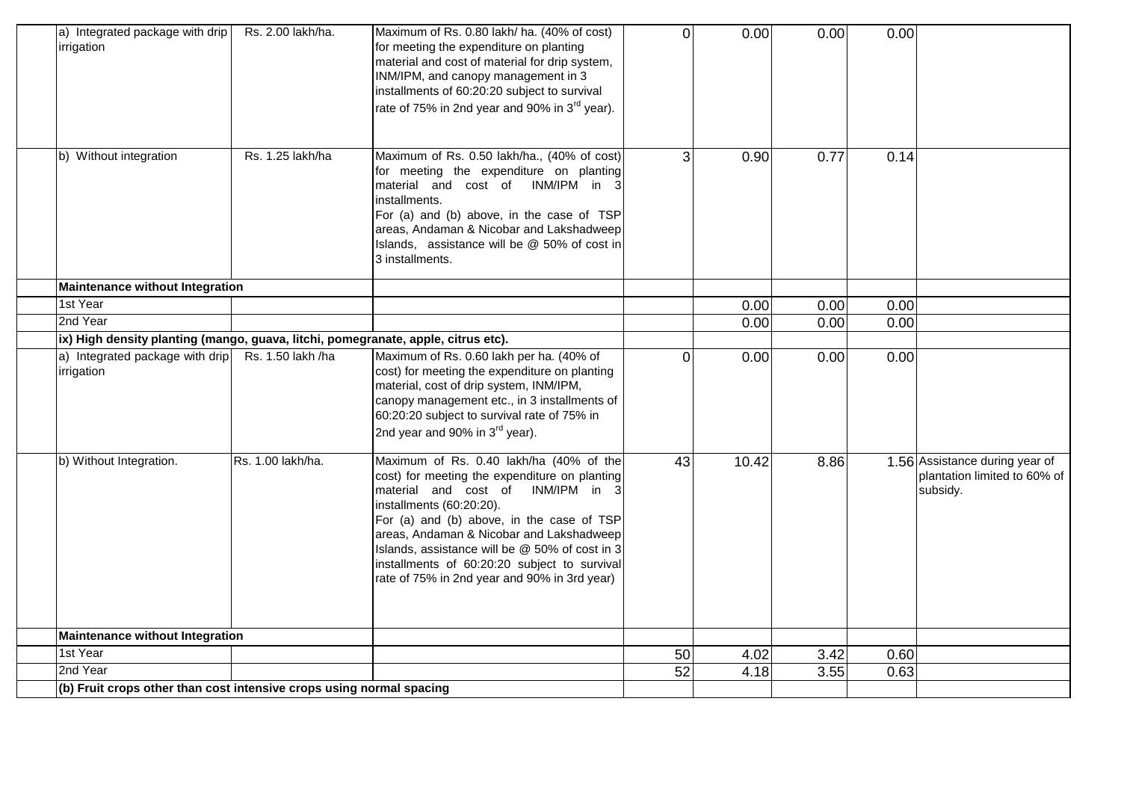| a) Integrated package with drip<br>irrigation                                     | Rs. 2.00 lakh/ha. | Maximum of Rs. 0.80 lakh/ ha. (40% of cost)<br>for meeting the expenditure on planting<br>material and cost of material for drip system,<br>INM/IPM, and canopy management in 3<br>installments of 60:20:20 subject to survival<br>rate of 75% in 2nd year and 90% in 3 <sup>rd</sup> year).                                                                                                           | $\Omega$ | 0.00  | 0.00 | 0.00 |                                                                            |
|-----------------------------------------------------------------------------------|-------------------|--------------------------------------------------------------------------------------------------------------------------------------------------------------------------------------------------------------------------------------------------------------------------------------------------------------------------------------------------------------------------------------------------------|----------|-------|------|------|----------------------------------------------------------------------------|
| b) Without integration                                                            | Rs. 1.25 lakh/ha  | Maximum of Rs. 0.50 lakh/ha., (40% of cost)<br>for meeting the expenditure on planting<br>material and cost of INM/IPM in 3<br>installments.<br>For (a) and (b) above, in the case of TSP<br>areas, Andaman & Nicobar and Lakshadweep<br>Islands, assistance will be @ 50% of cost in<br>3 installments.                                                                                               | 3        | 0.90  | 0.77 | 0.14 |                                                                            |
| <b>Maintenance without Integration</b>                                            |                   |                                                                                                                                                                                                                                                                                                                                                                                                        |          |       |      |      |                                                                            |
| 1st Year                                                                          |                   |                                                                                                                                                                                                                                                                                                                                                                                                        |          | 0.00  | 0.00 | 0.00 |                                                                            |
| 2nd Year                                                                          |                   |                                                                                                                                                                                                                                                                                                                                                                                                        |          | 0.00  | 0.00 | 0.00 |                                                                            |
| ix) High density planting (mango, guava, litchi, pomegranate, apple, citrus etc). |                   |                                                                                                                                                                                                                                                                                                                                                                                                        |          |       |      |      |                                                                            |
| a) Integrated package with drip<br>irrigation                                     | Rs. 1.50 lakh /ha | Maximum of Rs. 0.60 lakh per ha. (40% of<br>cost) for meeting the expenditure on planting<br>material, cost of drip system, INM/IPM,<br>canopy management etc., in 3 installments of<br>60:20:20 subject to survival rate of 75% in<br>2nd year and 90% in $3^{\text{rd}}$ year).                                                                                                                      | $\Omega$ | 0.00  | 0.00 | 0.00 |                                                                            |
| b) Without Integration.                                                           | Rs. 1.00 lakh/ha. | Maximum of Rs. 0.40 lakh/ha (40% of the<br>cost) for meeting the expenditure on planting<br>material and cost of INM/IPM in 3<br>installments (60:20:20).<br>For (a) and (b) above, in the case of TSP<br>areas, Andaman & Nicobar and Lakshadweep<br>Islands, assistance will be $@$ 50% of cost in 3<br>installments of 60:20:20 subject to survival<br>rate of 75% in 2nd year and 90% in 3rd year) | 43       | 10.42 | 8.86 |      | 1.56 Assistance during year of<br>plantation limited to 60% of<br>subsidy. |
| <b>Maintenance without Integration</b>                                            |                   |                                                                                                                                                                                                                                                                                                                                                                                                        |          |       |      |      |                                                                            |
| 1st Year                                                                          |                   |                                                                                                                                                                                                                                                                                                                                                                                                        | 50       | 4.02  | 3.42 | 0.60 |                                                                            |
| 2nd Year                                                                          |                   |                                                                                                                                                                                                                                                                                                                                                                                                        | 52       | 4.18  | 3.55 | 0.63 |                                                                            |
| (b) Fruit crops other than cost intensive crops using normal spacing              |                   |                                                                                                                                                                                                                                                                                                                                                                                                        |          |       |      |      |                                                                            |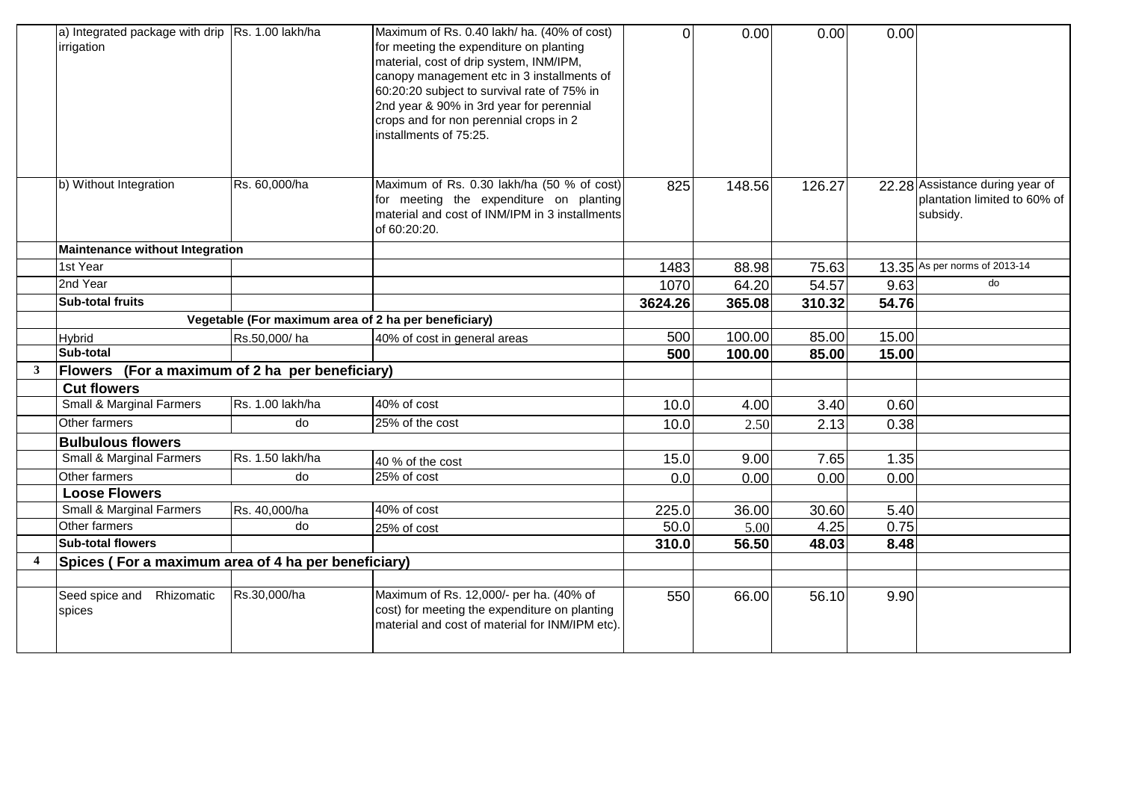|              | a) Integrated package with drip $\vert$ Rs. 1.00 lakh/ha<br>irrigation |                                                      | Maximum of Rs. 0.40 lakh/ ha. (40% of cost)<br>for meeting the expenditure on planting<br>material, cost of drip system, INM/IPM,<br>canopy management etc in 3 installments of<br>60:20:20 subject to survival rate of 75% in<br>2nd year & 90% in 3rd year for perennial<br>crops and for non perennial crops in 2<br>installments of 75:25. | $\Omega$ | 0.00   | 0.00   | 0.00  |                                                                             |
|--------------|------------------------------------------------------------------------|------------------------------------------------------|------------------------------------------------------------------------------------------------------------------------------------------------------------------------------------------------------------------------------------------------------------------------------------------------------------------------------------------------|----------|--------|--------|-------|-----------------------------------------------------------------------------|
|              | b) Without Integration                                                 | Rs. 60,000/ha                                        | Maximum of Rs. 0.30 lakh/ha (50 % of cost)<br>for meeting the expenditure on planting<br>material and cost of INM/IPM in 3 installments<br>of 60:20:20.                                                                                                                                                                                        | 825      | 148.56 | 126.27 |       | 22.28 Assistance during year of<br>plantation limited to 60% of<br>subsidy. |
|              | Maintenance without Integration                                        |                                                      |                                                                                                                                                                                                                                                                                                                                                |          |        |        |       |                                                                             |
|              | 1st Year                                                               |                                                      |                                                                                                                                                                                                                                                                                                                                                | 1483     | 88.98  | 75.63  |       | 13.35 As per norms of 2013-14                                               |
|              | 2nd Year                                                               |                                                      |                                                                                                                                                                                                                                                                                                                                                | 1070     | 64.20  | 54.57  | 9.63  | do                                                                          |
|              | <b>Sub-total fruits</b>                                                |                                                      |                                                                                                                                                                                                                                                                                                                                                | 3624.26  | 365.08 | 310.32 | 54.76 |                                                                             |
|              |                                                                        | Vegetable (For maximum area of 2 ha per beneficiary) |                                                                                                                                                                                                                                                                                                                                                |          |        |        |       |                                                                             |
|              | <b>Hybrid</b>                                                          | Rs.50,000/ha                                         | 40% of cost in general areas                                                                                                                                                                                                                                                                                                                   | 500      | 100.00 | 85.00  | 15.00 |                                                                             |
|              | Sub-total                                                              |                                                      |                                                                                                                                                                                                                                                                                                                                                | 500      | 100.00 | 85.00  | 15.00 |                                                                             |
| $\mathbf{3}$ | Flowers (For a maximum of 2 ha per beneficiary)                        |                                                      |                                                                                                                                                                                                                                                                                                                                                |          |        |        |       |                                                                             |
|              | <b>Cut flowers</b>                                                     |                                                      |                                                                                                                                                                                                                                                                                                                                                |          |        |        |       |                                                                             |
|              | Small & Marginal Farmers                                               | Rs. 1.00 lakh/ha                                     | 40% of cost                                                                                                                                                                                                                                                                                                                                    | 10.0     | 4.00   | 3.40   | 0.60  |                                                                             |
|              | Other farmers                                                          | do                                                   | 25% of the cost                                                                                                                                                                                                                                                                                                                                | 10.0     | 2.50   | 2.13   | 0.38  |                                                                             |
|              | <b>Bulbulous flowers</b>                                               |                                                      |                                                                                                                                                                                                                                                                                                                                                |          |        |        |       |                                                                             |
|              | <b>Small &amp; Marginal Farmers</b>                                    | Rs. 1.50 lakh/ha                                     | 40 % of the cost                                                                                                                                                                                                                                                                                                                               | 15.0     | 9.00   | 7.65   | 1.35  |                                                                             |
|              | Other farmers                                                          | do                                                   | 25% of cost                                                                                                                                                                                                                                                                                                                                    | 0.0      | 0.00   | 0.00   | 0.00  |                                                                             |
|              | <b>Loose Flowers</b>                                                   |                                                      |                                                                                                                                                                                                                                                                                                                                                |          |        |        |       |                                                                             |
|              | Small & Marginal Farmers                                               | Rs. 40,000/ha                                        | 40% of cost                                                                                                                                                                                                                                                                                                                                    | 225.0    | 36.00  | 30.60  | 5.40  |                                                                             |
|              | Other farmers                                                          | do                                                   | 25% of cost                                                                                                                                                                                                                                                                                                                                    | 50.0     | 5.00   | 4.25   | 0.75  |                                                                             |
|              | <b>Sub-total flowers</b>                                               |                                                      |                                                                                                                                                                                                                                                                                                                                                | 310.0    | 56.50  | 48.03  | 8.48  |                                                                             |
| 4            | Spices (For a maximum area of 4 ha per beneficiary)                    |                                                      |                                                                                                                                                                                                                                                                                                                                                |          |        |        |       |                                                                             |
|              |                                                                        |                                                      |                                                                                                                                                                                                                                                                                                                                                |          |        |        |       |                                                                             |
|              | Rhizomatic<br>Seed spice and<br>spices                                 | Rs.30,000/ha                                         | Maximum of Rs. 12,000/- per ha. (40% of<br>cost) for meeting the expenditure on planting<br>material and cost of material for INM/IPM etc).                                                                                                                                                                                                    | 550      | 66.00  | 56.10  | 9.90  |                                                                             |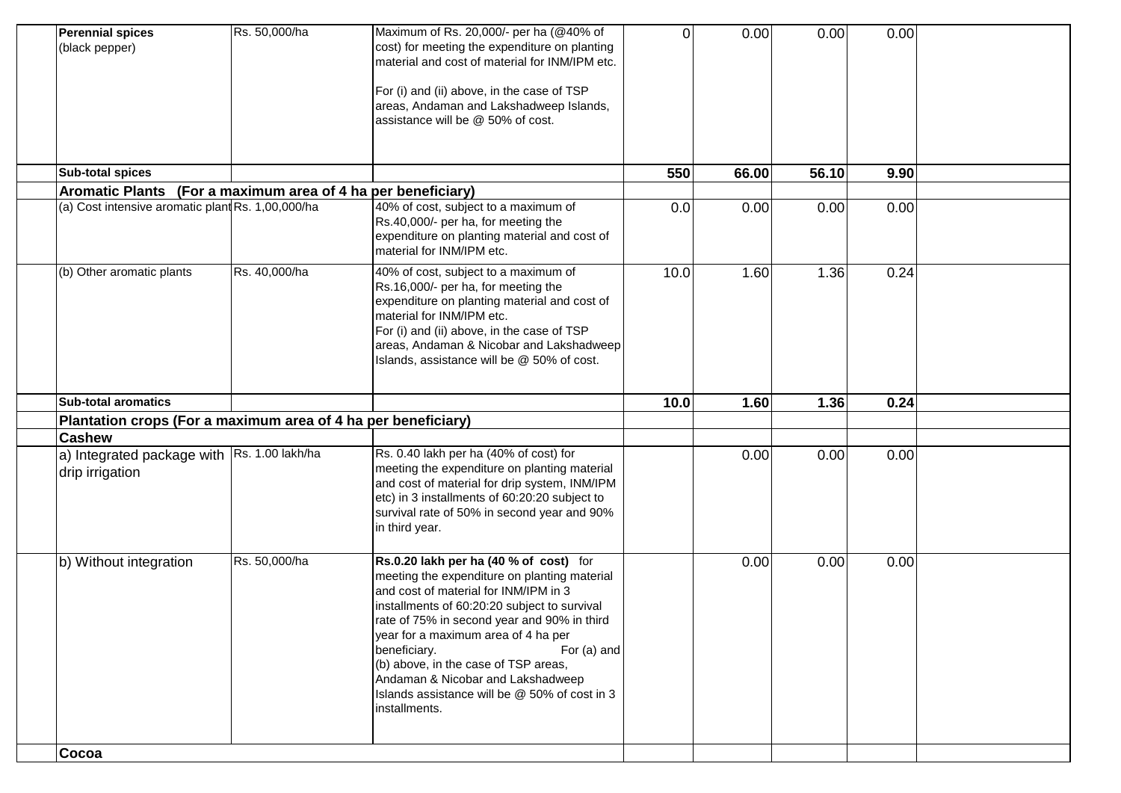| <b>Perennial spices</b><br>(black pepper)                     | Rs. 50,000/ha    | Maximum of Rs. 20,000/- per ha (@40% of<br>cost) for meeting the expenditure on planting<br>material and cost of material for INM/IPM etc.<br>For (i) and (ii) above, in the case of TSP<br>areas, Andaman and Lakshadweep Islands,<br>assistance will be @ 50% of cost.                                                                                                                                                                            | 0    | 0.00  | 0.00  | 0.00 |  |
|---------------------------------------------------------------|------------------|-----------------------------------------------------------------------------------------------------------------------------------------------------------------------------------------------------------------------------------------------------------------------------------------------------------------------------------------------------------------------------------------------------------------------------------------------------|------|-------|-------|------|--|
| <b>Sub-total spices</b>                                       |                  |                                                                                                                                                                                                                                                                                                                                                                                                                                                     | 550  | 66.00 | 56.10 | 9.90 |  |
| Aromatic Plants (For a maximum area of 4 ha per beneficiary)  |                  |                                                                                                                                                                                                                                                                                                                                                                                                                                                     |      |       |       |      |  |
| (a) Cost intensive aromatic plant Rs. 1,00,000/ha             |                  | 40% of cost, subject to a maximum of<br>Rs.40,000/- per ha, for meeting the<br>expenditure on planting material and cost of<br>material for INM/IPM etc.                                                                                                                                                                                                                                                                                            | 0.0  | 0.00  | 0.00  | 0.00 |  |
| (b) Other aromatic plants                                     | Rs. 40,000/ha    | 40% of cost, subject to a maximum of<br>Rs.16,000/- per ha, for meeting the<br>expenditure on planting material and cost of<br>material for INM/IPM etc.<br>For (i) and (ii) above, in the case of TSP<br>areas, Andaman & Nicobar and Lakshadweep<br>Islands, assistance will be @ 50% of cost.                                                                                                                                                    | 10.0 | 1.60  | 1.36  | 0.24 |  |
| <b>Sub-total aromatics</b>                                    |                  |                                                                                                                                                                                                                                                                                                                                                                                                                                                     | 10.0 | 1.60  | 1.36  | 0.24 |  |
| Plantation crops (For a maximum area of 4 ha per beneficiary) |                  |                                                                                                                                                                                                                                                                                                                                                                                                                                                     |      |       |       |      |  |
| <b>Cashew</b>                                                 |                  |                                                                                                                                                                                                                                                                                                                                                                                                                                                     |      |       |       |      |  |
| a) Integrated package with  <br>drip irrigation               | Rs. 1.00 lakh/ha | Rs. 0.40 lakh per ha (40% of cost) for<br>meeting the expenditure on planting material<br>and cost of material for drip system, INM/IPM<br>etc) in 3 installments of 60:20:20 subject to<br>survival rate of 50% in second year and 90%<br>in third year.                                                                                                                                                                                           |      | 0.00  | 0.00  | 0.00 |  |
| b) Without integration                                        | Rs. 50,000/ha    | Rs.0.20 lakh per ha (40 % of cost) for<br>meeting the expenditure on planting material<br>and cost of material for INM/IPM in 3<br>installments of 60:20:20 subject to survival<br>rate of 75% in second year and 90% in third<br>year for a maximum area of 4 ha per<br>beneficiary.<br>For (a) and<br>(b) above, in the case of TSP areas,<br>Andaman & Nicobar and Lakshadweep<br>Islands assistance will be @ 50% of cost in 3<br>installments. |      | 0.00  | 0.00  | 0.00 |  |
| Cocoa                                                         |                  |                                                                                                                                                                                                                                                                                                                                                                                                                                                     |      |       |       |      |  |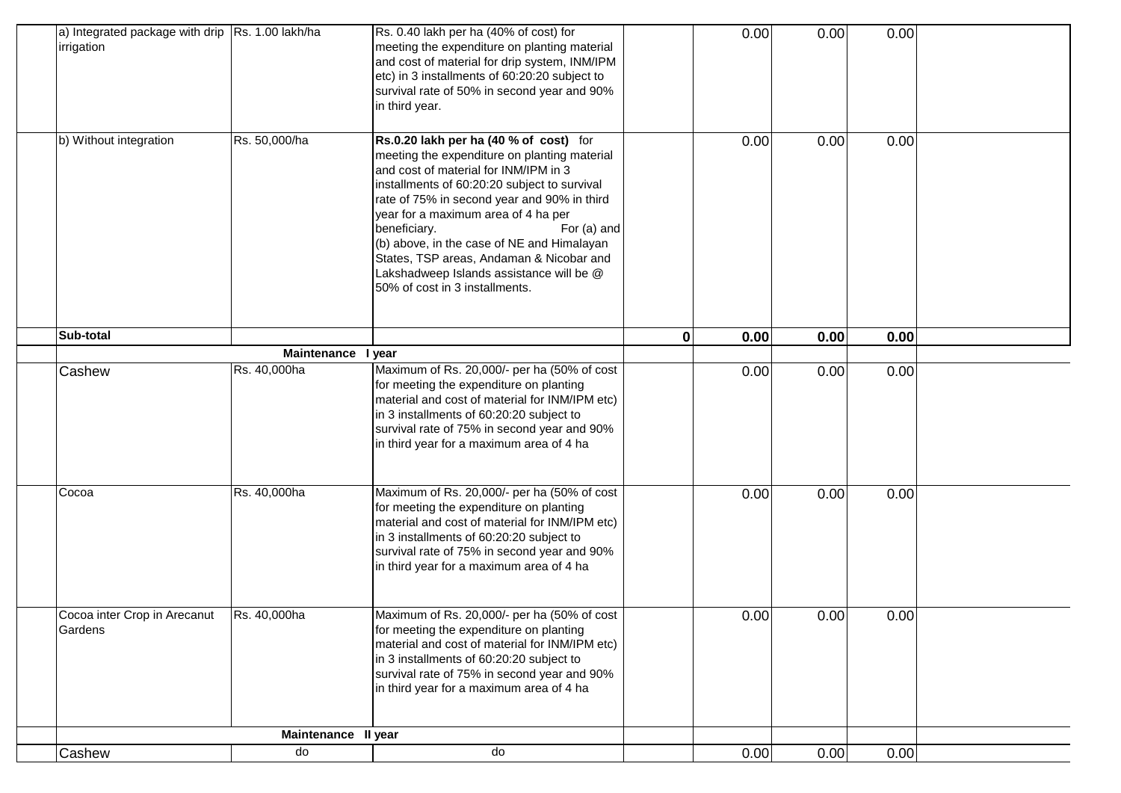| a) Integrated package with drip   Rs. 1.00 lakh/ha<br>irrigation |                     | Rs. 0.40 lakh per ha (40% of cost) for<br>meeting the expenditure on planting material<br>and cost of material for drip system, INM/IPM<br>etc) in 3 installments of 60:20:20 subject to<br>survival rate of 50% in second year and 90%<br>in third year.                                                                                                                                                                                                                    |   | 0.00 | 0.00 | 0.00 |  |
|------------------------------------------------------------------|---------------------|------------------------------------------------------------------------------------------------------------------------------------------------------------------------------------------------------------------------------------------------------------------------------------------------------------------------------------------------------------------------------------------------------------------------------------------------------------------------------|---|------|------|------|--|
| b) Without integration                                           | Rs. 50,000/ha       | Rs.0.20 lakh per ha (40 % of cost) for<br>meeting the expenditure on planting material<br>and cost of material for INM/IPM in 3<br>installments of 60:20:20 subject to survival<br>rate of 75% in second year and 90% in third<br>year for a maximum area of 4 ha per<br>beneficiary.<br>For (a) and<br>(b) above, in the case of NE and Himalayan<br>States, TSP areas, Andaman & Nicobar and<br>Lakshadweep Islands assistance will be @<br>50% of cost in 3 installments. |   | 0.00 | 0.00 | 0.00 |  |
| Sub-total                                                        |                     |                                                                                                                                                                                                                                                                                                                                                                                                                                                                              | 0 | 0.00 | 0.00 | 0.00 |  |
|                                                                  | <b>Maintenance</b>  | I year                                                                                                                                                                                                                                                                                                                                                                                                                                                                       |   |      |      |      |  |
| Cashew                                                           | Rs. 40,000ha        | Maximum of Rs. 20,000/- per ha (50% of cost<br>for meeting the expenditure on planting<br>material and cost of material for INM/IPM etc)<br>in 3 installments of 60:20:20 subject to<br>survival rate of 75% in second year and 90%<br>in third year for a maximum area of 4 ha                                                                                                                                                                                              |   | 0.00 | 0.00 | 0.00 |  |
| Cocoa                                                            | Rs. 40,000ha        | Maximum of Rs. 20,000/- per ha (50% of cost<br>for meeting the expenditure on planting<br>material and cost of material for INM/IPM etc)<br>in 3 installments of 60:20:20 subject to<br>survival rate of 75% in second year and 90%<br>in third year for a maximum area of 4 ha                                                                                                                                                                                              |   | 0.00 | 0.00 | 0.00 |  |
| Cocoa inter Crop in Arecanut<br>Gardens                          | Rs. 40,000ha        | Maximum of Rs. 20,000/- per ha (50% of cost<br>for meeting the expenditure on planting<br>material and cost of material for INM/IPM etc)<br>in 3 installments of 60:20:20 subject to<br>survival rate of 75% in second year and 90%<br>in third year for a maximum area of 4 ha                                                                                                                                                                                              |   | 0.00 | 0.00 | 0.00 |  |
|                                                                  | Maintenance II year |                                                                                                                                                                                                                                                                                                                                                                                                                                                                              |   |      |      |      |  |
| Cashew                                                           | do                  | do                                                                                                                                                                                                                                                                                                                                                                                                                                                                           |   | 0.00 | 0.00 | 0.00 |  |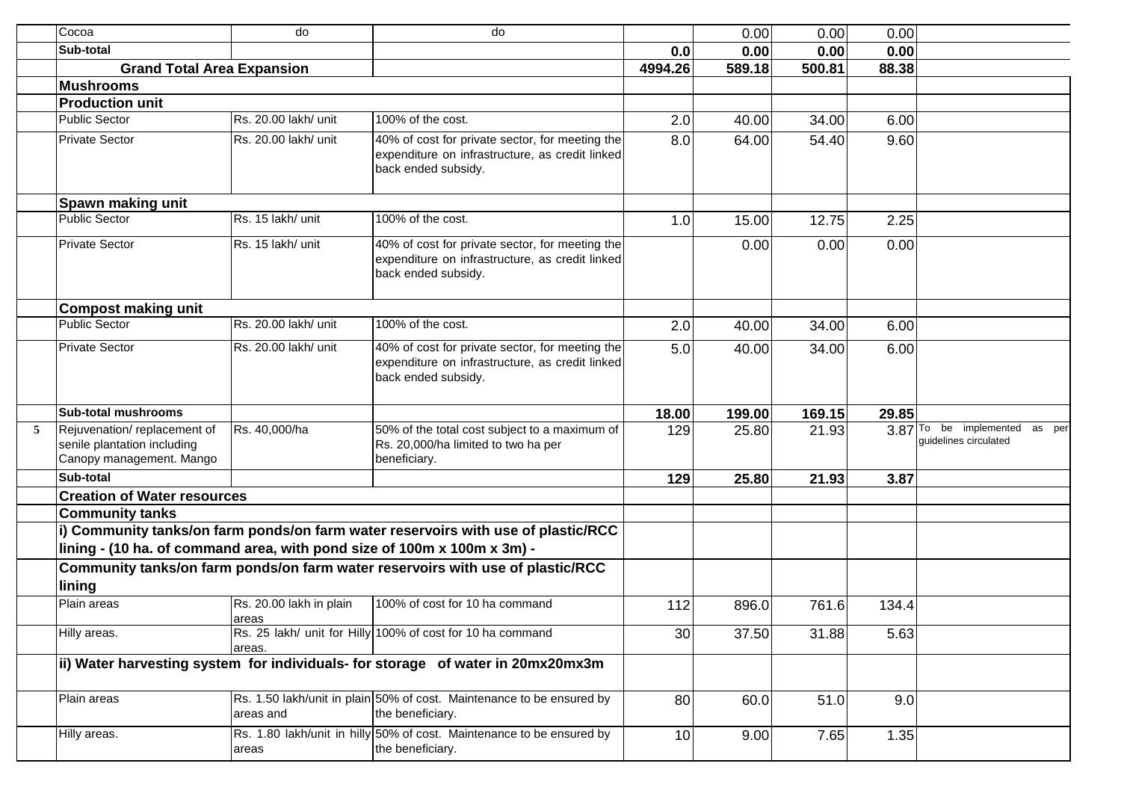|   | Cocoa                                                                                  | do                               | do                                                                                                                        |         | 0.00   | 0.00   | 0.00  |                                                           |
|---|----------------------------------------------------------------------------------------|----------------------------------|---------------------------------------------------------------------------------------------------------------------------|---------|--------|--------|-------|-----------------------------------------------------------|
|   | Sub-total                                                                              |                                  |                                                                                                                           | 0.0     | 0.00   | 0.00   | 0.00  |                                                           |
|   | <b>Grand Total Area Expansion</b>                                                      |                                  |                                                                                                                           | 4994.26 | 589.18 | 500.81 | 88.38 |                                                           |
|   | <b>Mushrooms</b>                                                                       |                                  |                                                                                                                           |         |        |        |       |                                                           |
|   | <b>Production unit</b>                                                                 |                                  |                                                                                                                           |         |        |        |       |                                                           |
|   | <b>Public Sector</b>                                                                   | Rs. 20.00 lakh/ unit             | 100% of the cost.                                                                                                         | 2.0     | 40.00  | 34.00  | 6.00  |                                                           |
|   | <b>Private Sector</b>                                                                  | Rs. 20.00 lakh/ unit             | 40% of cost for private sector, for meeting the<br>expenditure on infrastructure, as credit linked<br>back ended subsidy. | 8.0     | 64.00  | 54.40  | 9.60  |                                                           |
|   | Spawn making unit                                                                      |                                  |                                                                                                                           |         |        |        |       |                                                           |
|   | <b>Public Sector</b>                                                                   | Rs. 15 lakh/ unit                | 100% of the cost.                                                                                                         | 1.0     | 15.00  | 12.75  | 2.25  |                                                           |
|   | <b>Private Sector</b>                                                                  | Rs. 15 lakh/ unit                | 40% of cost for private sector, for meeting the<br>expenditure on infrastructure, as credit linked<br>back ended subsidy. |         | 0.00   | 0.00   | 0.00  |                                                           |
|   | <b>Compost making unit</b>                                                             |                                  |                                                                                                                           |         |        |        |       |                                                           |
|   | Public Sector                                                                          | Rs. 20.00 lakh/ unit             | 100% of the cost.                                                                                                         | 2.0     | 40.00  | 34.00  | 6.00  |                                                           |
|   | <b>Private Sector</b>                                                                  | Rs. 20.00 lakh/ unit             | 40% of cost for private sector, for meeting the<br>expenditure on infrastructure, as credit linked<br>back ended subsidy. | 5.0     | 40.00  | 34.00  | 6.00  |                                                           |
|   | <b>Sub-total mushrooms</b>                                                             |                                  |                                                                                                                           | 18.00   | 199.00 | 169.15 | 29.85 |                                                           |
| 5 | Rejuvenation/replacement of<br>senile plantation including<br>Canopy management. Mango | Rs. 40,000/ha                    | 50% of the total cost subject to a maximum of<br>Rs. 20,000/ha limited to two ha per<br>beneficiary.                      | 129     | 25.80  | 21.93  |       | 3.87 To be implemented<br>as per<br>quidelines circulated |
|   | Sub-total                                                                              |                                  |                                                                                                                           | 129     | 25.80  | 21.93  | 3.87  |                                                           |
|   | <b>Creation of Water resources</b>                                                     |                                  |                                                                                                                           |         |        |        |       |                                                           |
|   | <b>Community tanks</b>                                                                 |                                  |                                                                                                                           |         |        |        |       |                                                           |
|   | lining - (10 ha. of command area, with pond size of 100m x 100m x 3m) -                |                                  | i) Community tanks/on farm ponds/on farm water reservoirs with use of plastic/RCC                                         |         |        |        |       |                                                           |
|   | lining                                                                                 |                                  | Community tanks/on farm ponds/on farm water reservoirs with use of plastic/RCC                                            |         |        |        |       |                                                           |
|   | Plain areas                                                                            | Rs. 20.00 lakh in plain<br>areas | 100% of cost for 10 ha command                                                                                            | 112     | 896.0  | 761.6  | 134.4 |                                                           |
|   | Hilly areas.                                                                           | areas.                           | Rs. 25 lakh/ unit for Hilly 100% of cost for 10 ha command                                                                | 30      | 37.50  | 31.88  | 5.63  |                                                           |
|   |                                                                                        |                                  | ii) Water harvesting system for individuals- for storage of water in 20mx20mx3m                                           |         |        |        |       |                                                           |
|   | Plain areas                                                                            | areas and                        | Rs. 1.50 lakh/unit in plain 50% of cost. Maintenance to be ensured by<br>the beneficiary.                                 | 80      | 60.0   | 51.0   | 9.0   |                                                           |
|   | Hilly areas.                                                                           | areas                            | Rs. 1.80 lakh/unit in hilly 50% of cost. Maintenance to be ensured by<br>the beneficiary.                                 | 10      | 9.00   | 7.65   | 1.35  |                                                           |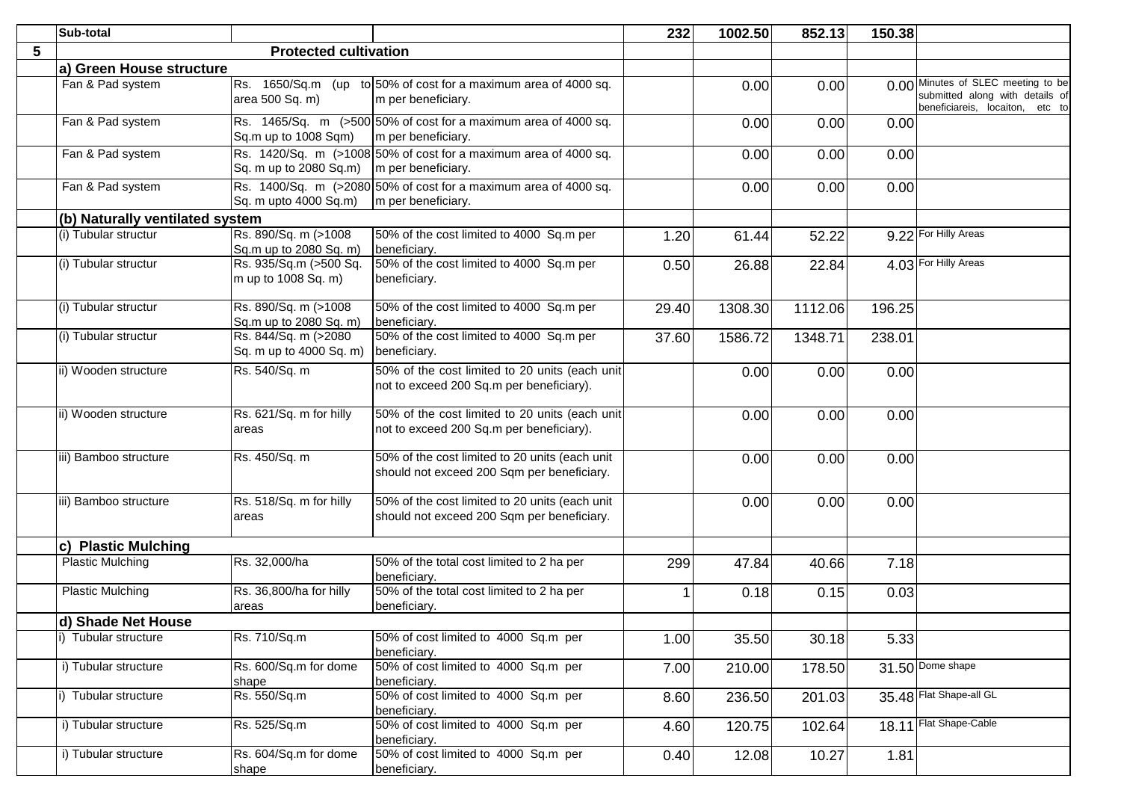|   | Sub-total                       |                                                   |                                                                                              | 232   | 1002.50 | 852.13  | 150.38 |                                                                                                          |
|---|---------------------------------|---------------------------------------------------|----------------------------------------------------------------------------------------------|-------|---------|---------|--------|----------------------------------------------------------------------------------------------------------|
| 5 |                                 | <b>Protected cultivation</b>                      |                                                                                              |       |         |         |        |                                                                                                          |
|   | a) Green House structure        |                                                   |                                                                                              |       |         |         |        |                                                                                                          |
|   | Fan & Pad system                | area 500 Sq. m)                                   | Rs. 1650/Sq.m (up to 50% of cost for a maximum area of 4000 sq.<br>m per beneficiary.        |       | 0.00    | 0.00    |        | 0.00 Minutes of SLEC meeting to be<br>submitted along with details of<br>beneficiareis, locaiton, etc to |
|   | Fan & Pad system                | Sq.m up to 1008 Sqm)                              | Rs. 1465/Sq. m (>500 50% of cost for a maximum area of 4000 sq.<br>m per beneficiary.        |       | 0.00    | 0.00    | 0.00   |                                                                                                          |
|   | Fan & Pad system                | Sq. m up to 2080 Sq.m) $\vert$ m per beneficiary. | Rs. 1420/Sq. m (>1008 50% of cost for a maximum area of 4000 sq.                             |       | 0.00    | 0.00    | 0.00   |                                                                                                          |
|   | Fan & Pad system                | Sq. m upto 4000 Sq.m)                             | Rs. 1400/Sq. m (>2080 50% of cost for a maximum area of 4000 sq.<br>m per beneficiary.       |       | 0.00    | 0.00    | 0.00   |                                                                                                          |
|   | (b) Naturally ventilated system |                                                   |                                                                                              |       |         |         |        |                                                                                                          |
|   | (i) Tubular structur            | Rs. 890/Sq. m (>1008<br>Sq.m up to 2080 Sq. m)    | 50% of the cost limited to 4000 Sq.m per<br>beneficiary.                                     | 1.20  | 61.44   | 52.22   |        | 9.22 For Hilly Areas                                                                                     |
|   | (i) Tubular structur            | Rs. 935/Sq.m (>500 Sq.<br>m up to 1008 Sq. m)     | 50% of the cost limited to 4000 Sq.m per<br>beneficiary.                                     | 0.50  | 26.88   | 22.84   |        | 4.03 For Hilly Areas                                                                                     |
|   | (i) Tubular structur            | Rs. 890/Sq. m (>1008<br>Sq.m up to 2080 Sq. m)    | 50% of the cost limited to 4000 Sq.m per<br>beneficiary.                                     | 29.40 | 1308.30 | 1112.06 | 196.25 |                                                                                                          |
|   | (i) Tubular structur            | Rs. 844/Sq. m (>2080<br>Sq. m up to 4000 Sq. m)   | 50% of the cost limited to 4000 Sq.m per<br>beneficiary.                                     | 37.60 | 1586.72 | 1348.71 | 238.01 |                                                                                                          |
|   | ii) Wooden structure            | Rs. 540/Sq. m                                     | 50% of the cost limited to 20 units (each unit<br>not to exceed 200 Sq.m per beneficiary).   |       | 0.00    | 0.00    | 0.00   |                                                                                                          |
|   | ii) Wooden structure            | Rs. 621/Sq. m for hilly<br>areas                  | 50% of the cost limited to 20 units (each unit<br>not to exceed 200 Sq.m per beneficiary).   |       | 0.00    | 0.00    | 0.00   |                                                                                                          |
|   | iii) Bamboo structure           | Rs. 450/Sq. m                                     | 50% of the cost limited to 20 units (each unit<br>should not exceed 200 Sqm per beneficiary. |       | 0.00    | 0.00    | 0.00   |                                                                                                          |
|   | iii) Bamboo structure           | Rs. 518/Sq. m for hilly<br>areas                  | 50% of the cost limited to 20 units (each unit<br>should not exceed 200 Sqm per beneficiary. |       | 0.00    | 0.00    | 0.00   |                                                                                                          |
|   | c) Plastic Mulching             |                                                   |                                                                                              |       |         |         |        |                                                                                                          |
|   | <b>Plastic Mulching</b>         | Rs. 32,000/ha                                     | 50% of the total cost limited to 2 ha per<br>beneficiary.                                    | 299   | 47.84   | 40.66   | 7.18   |                                                                                                          |
|   | <b>Plastic Mulching</b>         | Rs. 36,800/ha for hilly<br>areas                  | 50% of the total cost limited to 2 ha per<br>beneficiary.                                    |       | 0.18    | 0.15    | 0.03   |                                                                                                          |
|   | d) Shade Net House              |                                                   |                                                                                              |       |         |         |        |                                                                                                          |
|   | i) Tubular structure            | Rs. 710/Sq.m                                      | 50% of cost limited to 4000 Sq.m per<br>beneficiary.                                         | 1.00  | 35.50   | 30.18   | 5.33   |                                                                                                          |
|   | i) Tubular structure            | Rs. 600/Sq.m for dome<br>shape                    | 50% of cost limited to 4000 Sq.m per<br>beneficiary.                                         | 7.00  | 210.00  | 178.50  |        | $31.50$ Dome shape                                                                                       |
|   | Tubular structure               | Rs. 550/Sq.m                                      | 50% of cost limited to 4000 Sq.m per<br>beneficiary.                                         | 8.60  | 236.50  | 201.03  |        | 35.48 Flat Shape-all GL                                                                                  |
|   | i) Tubular structure            | Rs. 525/Sq.m                                      | 50% of cost limited to 4000 Sq.m per<br>beneficiary.                                         | 4.60  | 120.75  | 102.64  |        | 18.11 Flat Shape-Cable                                                                                   |
|   | i) Tubular structure            | Rs. 604/Sq.m for dome<br>shape                    | 50% of cost limited to 4000 Sq.m per<br>beneficiary.                                         | 0.40  | 12.08   | 10.27   | 1.81   |                                                                                                          |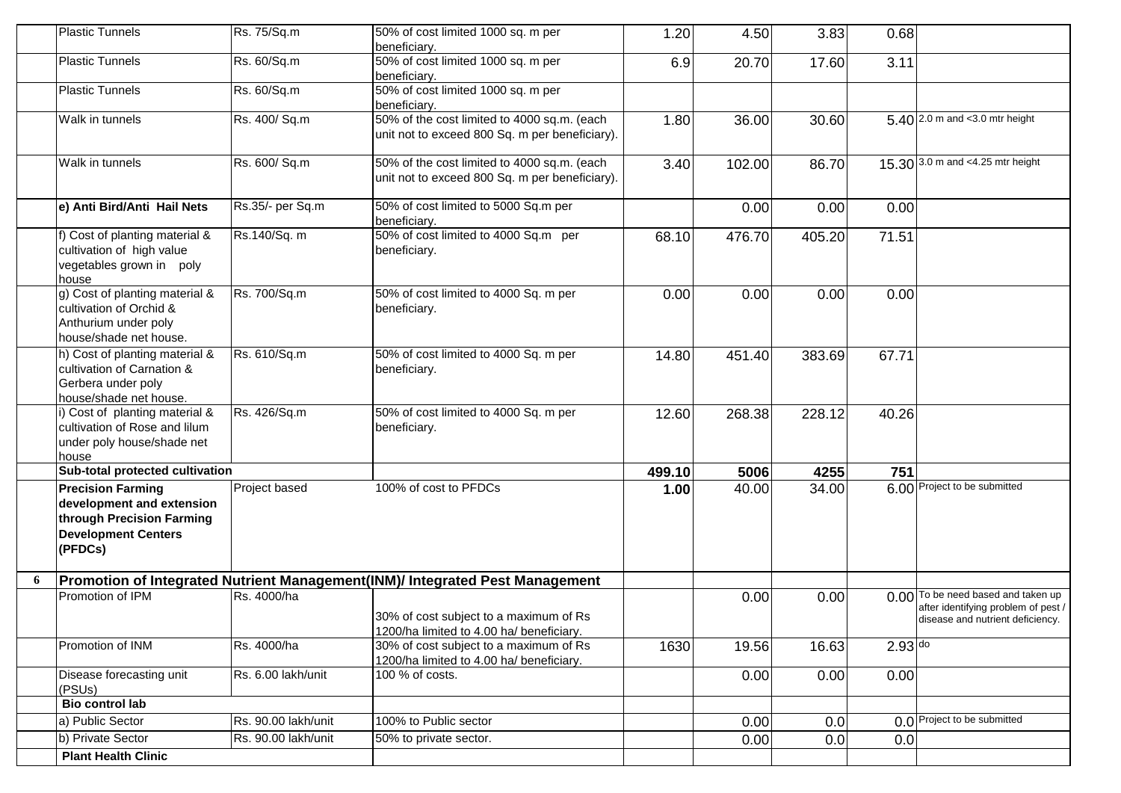|   | <b>Plastic Tunnels</b>                                                                                                      | Rs. 75/Sq.m         | 50% of cost limited 1000 sq. m per                                                            | 1.20   | 4.50   | 3.83   | 0.68      |                                                                                                               |
|---|-----------------------------------------------------------------------------------------------------------------------------|---------------------|-----------------------------------------------------------------------------------------------|--------|--------|--------|-----------|---------------------------------------------------------------------------------------------------------------|
|   |                                                                                                                             |                     | beneficiary.                                                                                  |        |        |        |           |                                                                                                               |
|   | <b>Plastic Tunnels</b>                                                                                                      | Rs. 60/Sq.m         | 50% of cost limited 1000 sq. m per<br>beneficiary.                                            | 6.9    | 20.70  | 17.60  | 3.11      |                                                                                                               |
|   | <b>Plastic Tunnels</b>                                                                                                      | Rs. 60/Sq.m         | 50% of cost limited 1000 sq. m per<br>beneficiary.                                            |        |        |        |           |                                                                                                               |
|   | Walk in tunnels                                                                                                             | Rs. 400/ Sq.m       | 50% of the cost limited to 4000 sq.m. (each<br>unit not to exceed 800 Sq. m per beneficiary). | 1.80   | 36.00  | 30.60  |           | 5.40 2.0 m and <3.0 mtr height                                                                                |
|   | Walk in tunnels                                                                                                             | Rs. 600/ Sq.m       | 50% of the cost limited to 4000 sq.m. (each<br>unit not to exceed 800 Sq. m per beneficiary). | 3.40   | 102.00 | 86.70  |           | 15.30 3.0 m and <4.25 mtr height                                                                              |
|   | e) Anti Bird/Anti Hail Nets                                                                                                 | Rs.35/- per Sq.m    | 50% of cost limited to 5000 Sq.m per<br>beneficiary.                                          |        | 0.00   | 0.00   | 0.00      |                                                                                                               |
|   | f) Cost of planting material &<br>cultivation of high value<br>vegetables grown in poly<br>house                            | Rs.140/Sq. m        | 50% of cost limited to 4000 Sq.m per<br>beneficiary.                                          | 68.10  | 476.70 | 405.20 | 71.51     |                                                                                                               |
|   | g) Cost of planting material &<br>cultivation of Orchid &<br>Anthurium under poly<br>house/shade net house.                 | Rs. 700/Sq.m        | 50% of cost limited to 4000 Sq. m per<br>beneficiary.                                         | 0.00   | 0.00   | 0.00   | 0.00      |                                                                                                               |
|   | h) Cost of planting material &<br>cultivation of Carnation &<br>Gerbera under poly<br>house/shade net house.                | Rs. 610/Sq.m        | 50% of cost limited to 4000 Sq. m per<br>beneficiary.                                         | 14.80  | 451.40 | 383.69 | 67.71     |                                                                                                               |
|   | i) Cost of planting material &<br>cultivation of Rose and lilum<br>under poly house/shade net<br>house                      | Rs. 426/Sq.m        | 50% of cost limited to 4000 Sq. m per<br>beneficiary.                                         | 12.60  | 268.38 | 228.12 | 40.26     |                                                                                                               |
|   | Sub-total protected cultivation                                                                                             |                     |                                                                                               | 499.10 | 5006   | 4255   | 751       |                                                                                                               |
|   | <b>Precision Farming</b><br>development and extension<br>through Precision Farming<br><b>Development Centers</b><br>(PFDCs) | Project based       | 100% of cost to PFDCs                                                                         | 1.00   | 40.00  | 34.00  |           | 6.00 Project to be submitted                                                                                  |
| 6 |                                                                                                                             |                     | Promotion of Integrated Nutrient Management(INM)/ Integrated Pest Management                  |        |        |        |           |                                                                                                               |
|   | Promotion of IPM                                                                                                            | Rs. 4000/ha         | 30% of cost subject to a maximum of Rs<br>1200/ha limited to 4.00 ha/ beneficiary.            |        | 0.00   | 0.00   |           | 0.00 To be need based and taken up<br>after identifying problem of pest /<br>disease and nutrient deficiency. |
|   | Promotion of INM                                                                                                            | Rs. 4000/ha         | 30% of cost subject to a maximum of Rs<br>1200/ha limited to 4.00 ha/ beneficiary.            | 1630   | 19.56  | 16.63  | $2.93$ do |                                                                                                               |
|   | Disease forecasting unit<br>(PSUs)                                                                                          | Rs. 6.00 lakh/unit  | 100 % of costs.                                                                               |        | 0.00   | 0.00   | 0.00      |                                                                                                               |
|   | <b>Bio control lab</b>                                                                                                      |                     |                                                                                               |        |        |        |           |                                                                                                               |
|   | a) Public Sector                                                                                                            | Rs. 90.00 lakh/unit | 100% to Public sector                                                                         |        | 0.00   | 0.0    |           | 0.0 Project to be submitted                                                                                   |
|   | b) Private Sector                                                                                                           | Rs. 90.00 lakh/unit | 50% to private sector.                                                                        |        | 0.00   | 0.0    | 0.0       |                                                                                                               |
|   | <b>Plant Health Clinic</b>                                                                                                  |                     |                                                                                               |        |        |        |           |                                                                                                               |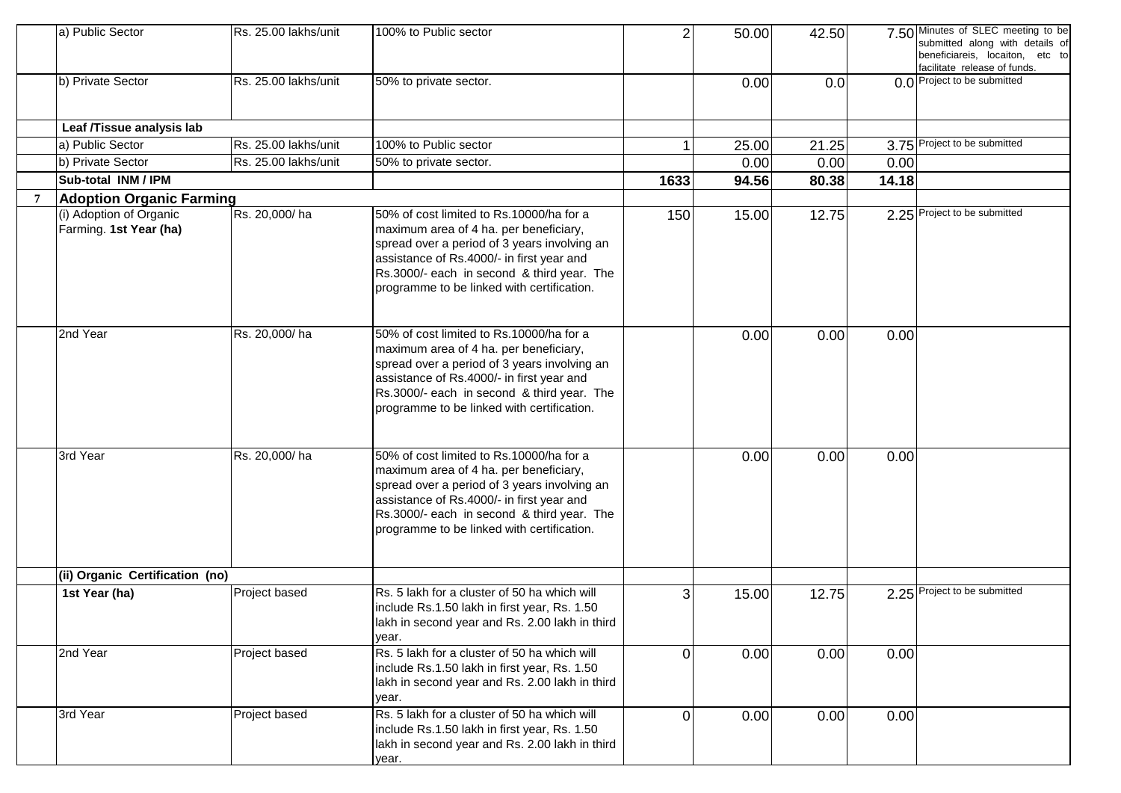|   | a) Public Sector                                  | Rs. 25.00 lakhs/unit | 100% to Public sector                                                                                                                                                                                                                                                       | $\overline{2}$ | 50.00 | 42.50 |       | 7.50 Minutes of SLEC meeting to be<br>submitted along with details of<br>beneficiareis, locaiton, etc to<br>facilitate release of funds. |
|---|---------------------------------------------------|----------------------|-----------------------------------------------------------------------------------------------------------------------------------------------------------------------------------------------------------------------------------------------------------------------------|----------------|-------|-------|-------|------------------------------------------------------------------------------------------------------------------------------------------|
|   | b) Private Sector                                 | Rs. 25.00 lakhs/unit | 50% to private sector.                                                                                                                                                                                                                                                      |                | 0.00  | 0.0   |       | 0.0 Project to be submitted                                                                                                              |
|   | Leaf /Tissue analysis lab                         |                      |                                                                                                                                                                                                                                                                             |                |       |       |       |                                                                                                                                          |
|   | a) Public Sector                                  | Rs. 25.00 lakhs/unit | 100% to Public sector                                                                                                                                                                                                                                                       |                | 25.00 | 21.25 |       | 3.75 Project to be submitted                                                                                                             |
|   | b) Private Sector                                 | Rs. 25.00 lakhs/unit | 50% to private sector.                                                                                                                                                                                                                                                      |                | 0.00  | 0.00  | 0.00  |                                                                                                                                          |
|   | Sub-total INM / IPM                               |                      |                                                                                                                                                                                                                                                                             | 1633           | 94.56 | 80.38 | 14.18 |                                                                                                                                          |
| 7 | <b>Adoption Organic Farming</b>                   |                      |                                                                                                                                                                                                                                                                             |                |       |       |       |                                                                                                                                          |
|   | (i) Adoption of Organic<br>Farming. 1st Year (ha) | Rs. 20,000/ha        | 50% of cost limited to Rs.10000/ha for a<br>maximum area of 4 ha. per beneficiary,<br>spread over a period of 3 years involving an<br>assistance of Rs.4000/- in first year and<br>Rs.3000/- each in second & third year. The<br>programme to be linked with certification. | 150            | 15.00 | 12.75 |       | 2.25 Project to be submitted                                                                                                             |
|   | 2nd Year                                          | Rs. 20,000/ha        | 50% of cost limited to Rs.10000/ha for a<br>maximum area of 4 ha. per beneficiary,<br>spread over a period of 3 years involving an<br>assistance of Rs.4000/- in first year and<br>Rs.3000/- each in second & third year. The<br>programme to be linked with certification. |                | 0.00  | 0.00  | 0.00  |                                                                                                                                          |
|   | 3rd Year                                          | Rs. 20,000/ha        | 50% of cost limited to Rs.10000/ha for a<br>maximum area of 4 ha. per beneficiary,<br>spread over a period of 3 years involving an<br>assistance of Rs.4000/- in first year and<br>Rs.3000/- each in second & third year. The<br>programme to be linked with certification. |                | 0.00  | 0.00  | 0.00  |                                                                                                                                          |
|   | (ii) Organic Certification (no)                   |                      |                                                                                                                                                                                                                                                                             |                |       |       |       |                                                                                                                                          |
|   | 1st Year (ha)                                     | Project based        | Rs. 5 lakh for a cluster of 50 ha which will<br>include Rs.1.50 lakh in first year, Rs. 1.50<br>lakh in second year and Rs. 2.00 lakh in third<br>year.                                                                                                                     | 3              | 15.00 | 12.75 |       | 2.25 Project to be submitted                                                                                                             |
|   | 2nd Year                                          | Project based        | Rs. 5 lakh for a cluster of 50 ha which will<br>include Rs.1.50 lakh in first year, Rs. 1.50<br>lakh in second year and Rs. 2.00 lakh in third<br>year.                                                                                                                     | $\Omega$       | 0.00  | 0.00  | 0.00  |                                                                                                                                          |
|   | 3rd Year                                          | Project based        | Rs. 5 lakh for a cluster of 50 ha which will<br>include Rs.1.50 lakh in first year, Rs. 1.50<br>lakh in second year and Rs. 2.00 lakh in third<br>year.                                                                                                                     | $\Omega$       | 0.00  | 0.00  | 0.00  |                                                                                                                                          |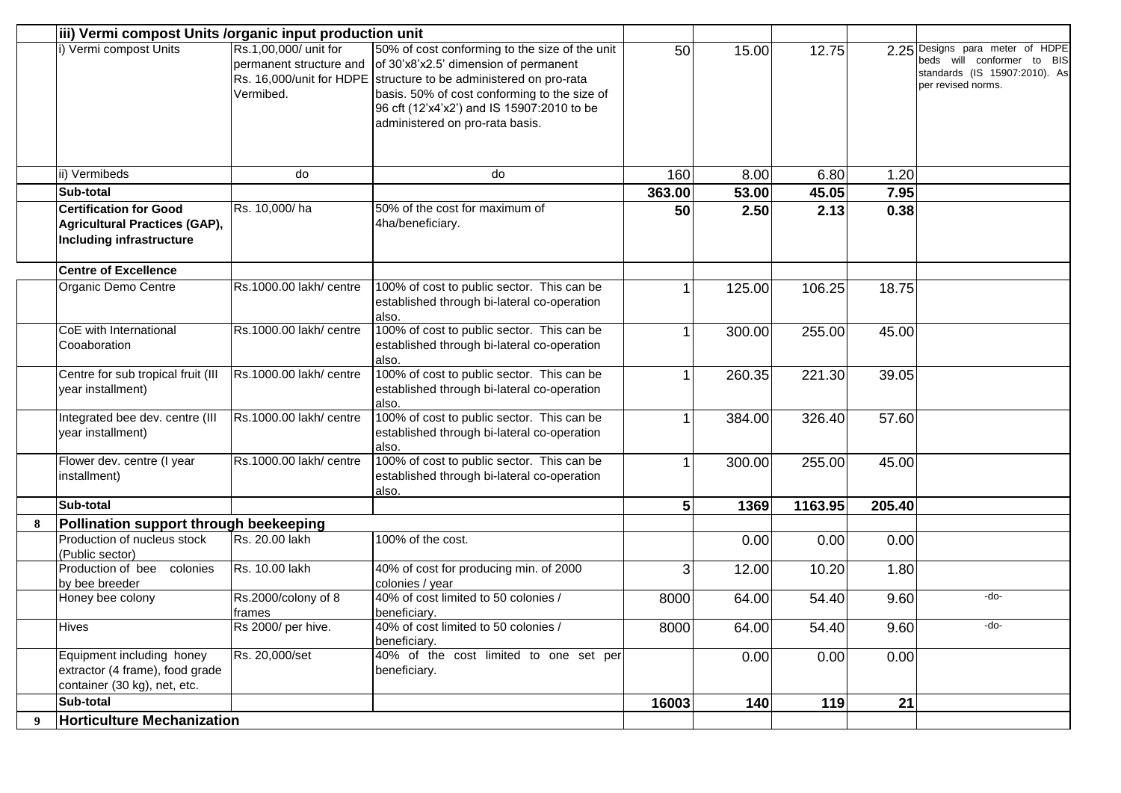|   | iii) Vermi compost Units /organic input production unit                                                  |                                                               |                                                                                                                                                                                                                                                                                               |        |        |         |        |                                                                                                                      |
|---|----------------------------------------------------------------------------------------------------------|---------------------------------------------------------------|-----------------------------------------------------------------------------------------------------------------------------------------------------------------------------------------------------------------------------------------------------------------------------------------------|--------|--------|---------|--------|----------------------------------------------------------------------------------------------------------------------|
|   | i) Vermi compost Units                                                                                   | Rs.1,00,000/ unit for<br>permanent structure and<br>Vermibed. | 50% of cost conforming to the size of the unit<br>of 30'x8'x2.5' dimension of permanent<br>Rs. 16,000/unit for HDPE structure to be administered on pro-rata<br>basis. 50% of cost conforming to the size of<br>96 cft (12'x4'x2') and IS 15907:2010 to be<br>administered on pro-rata basis. | 50     | 15.00  | 12.75   |        | 2.25 Designs para meter of HDPE<br>beds will conformer to BIS<br>standards (IS 15907:2010). As<br>per revised norms. |
|   | ii) Vermibeds                                                                                            | do                                                            | do                                                                                                                                                                                                                                                                                            | 160    | 8.00   | 6.80    | 1.20   |                                                                                                                      |
|   | Sub-total                                                                                                |                                                               |                                                                                                                                                                                                                                                                                               | 363.00 | 53.00  | 45.05   | 7.95   |                                                                                                                      |
|   | <b>Certification for Good</b><br><b>Agricultural Practices (GAP),</b><br><b>Including infrastructure</b> | Rs. 10,000/ha                                                 | 50% of the cost for maximum of<br>4ha/beneficiary.                                                                                                                                                                                                                                            | 50     | 2.50   | 2.13    | 0.38   |                                                                                                                      |
|   | <b>Centre of Excellence</b>                                                                              |                                                               |                                                                                                                                                                                                                                                                                               |        |        |         |        |                                                                                                                      |
|   | Organic Demo Centre                                                                                      | Rs.1000.00 lakh/ centre                                       | 100% of cost to public sector. This can be<br>established through bi-lateral co-operation<br>also.                                                                                                                                                                                            |        | 125.00 | 106.25  | 18.75  |                                                                                                                      |
|   | CoE with International<br>Cooaboration                                                                   | Rs.1000.00 lakh/ centre                                       | 100% of cost to public sector. This can be<br>established through bi-lateral co-operation<br>also.                                                                                                                                                                                            |        | 300.00 | 255.00  | 45.00  |                                                                                                                      |
|   | Centre for sub tropical fruit (III<br>year installment)                                                  | Rs.1000.00 lakh/ centre                                       | 100% of cost to public sector. This can be<br>established through bi-lateral co-operation<br>also.                                                                                                                                                                                            | 1      | 260.35 | 221.30  | 39.05  |                                                                                                                      |
|   | Integrated bee dev. centre (III<br>year installment)                                                     | Rs.1000.00 lakh/ centre                                       | 100% of cost to public sector. This can be<br>established through bi-lateral co-operation<br>also.                                                                                                                                                                                            |        | 384.00 | 326.40  | 57.60  |                                                                                                                      |
|   | Flower dev. centre (I year<br>installment)                                                               | Rs.1000.00 lakh/ centre                                       | 100% of cost to public sector. This can be<br>established through bi-lateral co-operation<br>also.                                                                                                                                                                                            | 1      | 300.00 | 255.00  | 45.00  |                                                                                                                      |
|   | Sub-total                                                                                                |                                                               |                                                                                                                                                                                                                                                                                               | 5      | 1369   | 1163.95 | 205.40 |                                                                                                                      |
|   | Pollination support through beekeeping                                                                   |                                                               |                                                                                                                                                                                                                                                                                               |        |        |         |        |                                                                                                                      |
|   | Production of nucleus stock<br>(Public sector)                                                           | Rs. 20.00 lakh                                                | 100% of the cost.                                                                                                                                                                                                                                                                             |        | 0.00   | 0.00    | 0.00   |                                                                                                                      |
|   | colonies<br>Production of bee<br>by bee breeder                                                          | Rs. 10.00 lakh                                                | 40% of cost for producing min. of 2000<br>colonies / year                                                                                                                                                                                                                                     | 3      | 12.00  | 10.20   | 1.80   |                                                                                                                      |
|   | Honey bee colony                                                                                         | Rs.2000/colony of 8<br>frames                                 | 40% of cost limited to 50 colonies /<br>beneficiary.                                                                                                                                                                                                                                          | 8000   | 64.00  | 54.40   | 9.60   | -do-                                                                                                                 |
|   | Hives                                                                                                    | Rs 2000/ per hive.                                            | 40% of cost limited to 50 colonies /<br>beneficiary.                                                                                                                                                                                                                                          | 8000   | 64.00  | 54.40   | 9.60   | -do-                                                                                                                 |
|   | Equipment including honey<br>extractor (4 frame), food grade<br>container (30 kg), net, etc.             | Rs. 20,000/set                                                | 40% of the cost limited to one set per<br>beneficiary.                                                                                                                                                                                                                                        |        | 0.00   | 0.00    | 0.00   |                                                                                                                      |
|   | Sub-total                                                                                                |                                                               |                                                                                                                                                                                                                                                                                               | 16003  | 140    | 119     | 21     |                                                                                                                      |
| 9 | <b>Horticulture Mechanization</b>                                                                        |                                                               |                                                                                                                                                                                                                                                                                               |        |        |         |        |                                                                                                                      |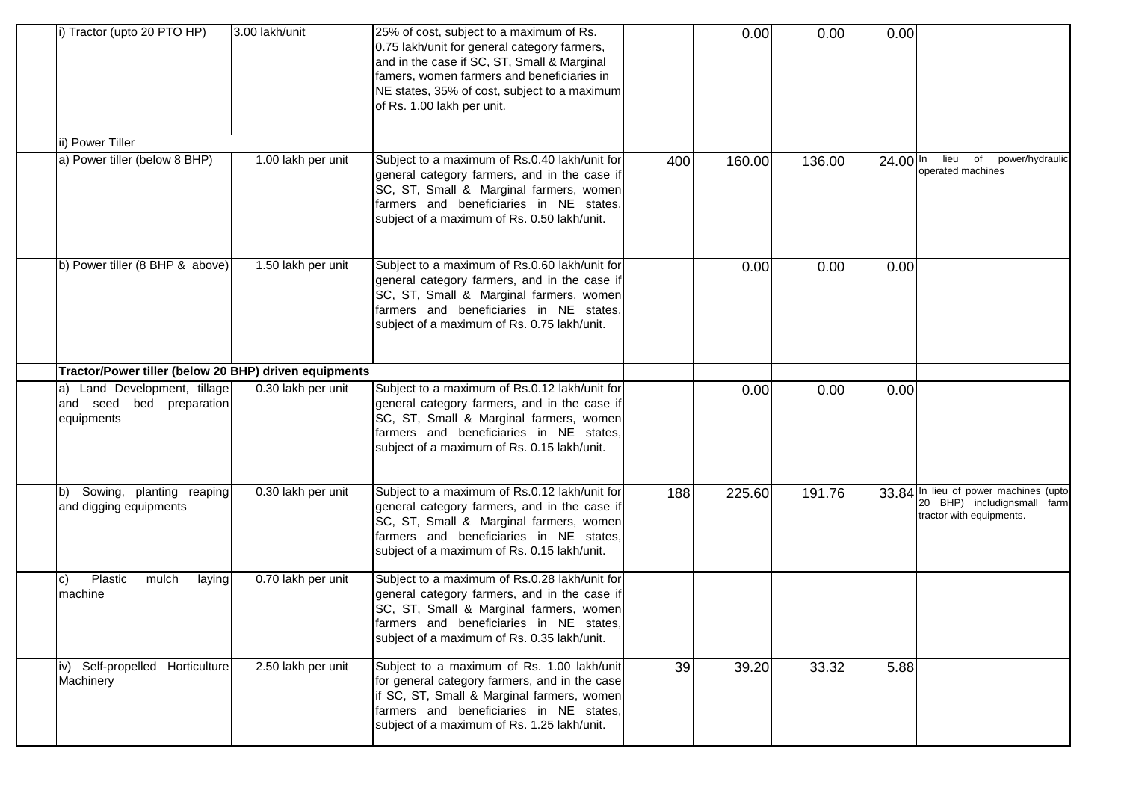| i) Tractor (upto 20 PTO HP)                                            | 3.00 lakh/unit     | 25% of cost, subject to a maximum of Rs.<br>0.75 lakh/unit for general category farmers,<br>and in the case if SC, ST, Small & Marginal<br>famers, women farmers and beneficiaries in<br>NE states, 35% of cost, subject to a maximum<br>of Rs. 1.00 lakh per unit. |     | 0.00   | 0.00   | 0.00       |                                                                                                  |
|------------------------------------------------------------------------|--------------------|---------------------------------------------------------------------------------------------------------------------------------------------------------------------------------------------------------------------------------------------------------------------|-----|--------|--------|------------|--------------------------------------------------------------------------------------------------|
| ii) Power Tiller                                                       |                    |                                                                                                                                                                                                                                                                     |     |        |        |            |                                                                                                  |
| a) Power tiller (below 8 BHP)                                          | 1.00 lakh per unit | Subject to a maximum of Rs.0.40 lakh/unit for<br>general category farmers, and in the case if<br>SC, ST, Small & Marginal farmers, women<br>farmers and beneficiaries in NE states,<br>subject of a maximum of Rs. 0.50 lakh/unit.                                  | 400 | 160.00 | 136.00 | $24.00$ In | of power/hydraulic<br>lieu<br>operated machines                                                  |
| b) Power tiller (8 BHP & above)                                        | 1.50 lakh per unit | Subject to a maximum of Rs.0.60 lakh/unit for<br>general category farmers, and in the case if<br>SC, ST, Small & Marginal farmers, women<br>farmers and beneficiaries in NE states.<br>subject of a maximum of Rs. 0.75 lakh/unit.                                  |     | 0.00   | 0.00   | 0.00       |                                                                                                  |
| Tractor/Power tiller (below 20 BHP) driven equipments                  |                    |                                                                                                                                                                                                                                                                     |     |        |        |            |                                                                                                  |
| a) Land Development, tillage<br>and seed bed preparation<br>equipments | 0.30 lakh per unit | Subject to a maximum of Rs.0.12 lakh/unit for<br>general category farmers, and in the case if<br>SC, ST, Small & Marginal farmers, women<br>farmers and beneficiaries in NE states,<br>subject of a maximum of Rs. 0.15 lakh/unit.                                  |     | 0.00   | 0.00   | 0.00       |                                                                                                  |
| Sowing, planting reaping<br>lb)<br>and digging equipments              | 0.30 lakh per unit | Subject to a maximum of Rs.0.12 lakh/unit for<br>general category farmers, and in the case if<br>SC, ST, Small & Marginal farmers, women<br>farmers and beneficiaries in NE states,<br>subject of a maximum of Rs. 0.15 lakh/unit.                                  | 188 | 225.60 | 191.76 |            | 33.84 In lieu of power machines (upto<br>20 BHP) includignsmall farm<br>tractor with equipments. |
| Plastic<br>mulch<br>laying<br>IC)<br>machine                           | 0.70 lakh per unit | Subject to a maximum of Rs.0.28 lakh/unit for<br>general category farmers, and in the case if<br>SC, ST, Small & Marginal farmers, women<br>farmers and beneficiaries in NE states,<br>subject of a maximum of Rs. 0.35 lakh/unit.                                  |     |        |        |            |                                                                                                  |
| iv) Self-propelled Horticulture<br>Machinery                           | 2.50 lakh per unit | Subject to a maximum of Rs. 1.00 lakh/unit<br>for general category farmers, and in the case<br>if SC, ST, Small & Marginal farmers, women<br>farmers and beneficiaries in NE states,<br>subject of a maximum of Rs. 1.25 lakh/unit.                                 | 39  | 39.20  | 33.32  | 5.88       |                                                                                                  |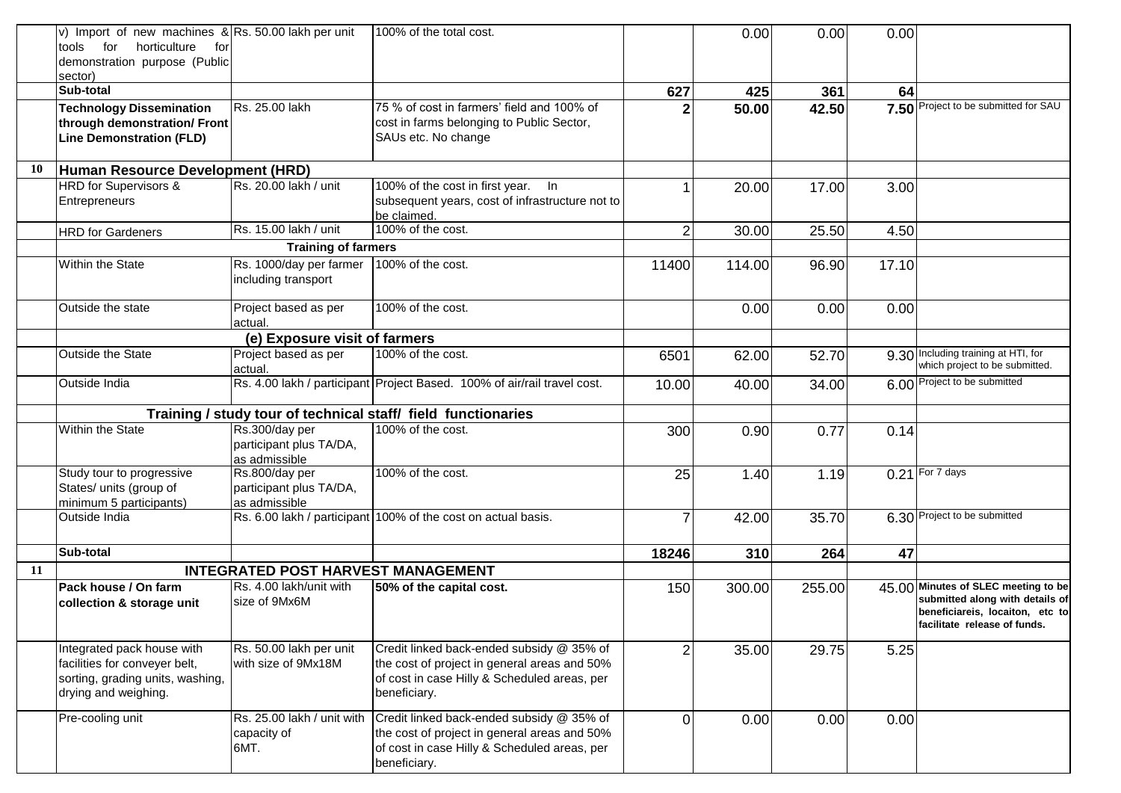|    | v) Import of new machines $\&$ Rs. 50.00 lakh per unit<br>tools for<br>horticulture<br>for<br>demonstration purpose (Public<br>sector) |                                                            | 100% of the total cost.                                                                                                                                   |                | 0.00   | 0.00   | 0.00  |                                                                                                                                           |
|----|----------------------------------------------------------------------------------------------------------------------------------------|------------------------------------------------------------|-----------------------------------------------------------------------------------------------------------------------------------------------------------|----------------|--------|--------|-------|-------------------------------------------------------------------------------------------------------------------------------------------|
|    | Sub-total                                                                                                                              |                                                            |                                                                                                                                                           | 627            | 425    | 361    | 64    |                                                                                                                                           |
|    | <b>Technology Dissemination</b><br>through demonstration/ Front<br><b>Line Demonstration (FLD)</b>                                     | Rs. 25.00 lakh                                             | 75 % of cost in farmers' field and 100% of<br>cost in farms belonging to Public Sector,<br>SAUs etc. No change                                            |                | 50.00  | 42.50  |       | 7.50 Project to be submitted for SAU                                                                                                      |
| 10 | Human Resource Development (HRD)                                                                                                       |                                                            |                                                                                                                                                           |                |        |        |       |                                                                                                                                           |
|    | HRD for Supervisors &<br>Entrepreneurs                                                                                                 | Rs. 20.00 lakh / unit                                      | 100% of the cost in first year. In<br>subsequent years, cost of infrastructure not to<br>be claimed.                                                      |                | 20.00  | 17.00  | 3.00  |                                                                                                                                           |
|    | <b>HRD</b> for Gardeners                                                                                                               | Rs. 15.00 lakh / unit                                      | 100% of the cost.                                                                                                                                         | $\overline{2}$ | 30.00  | 25.50  | 4.50  |                                                                                                                                           |
|    |                                                                                                                                        | <b>Training of farmers</b>                                 |                                                                                                                                                           |                |        |        |       |                                                                                                                                           |
|    | Within the State                                                                                                                       | Rs. 1000/day per farmer<br>including transport             | 100% of the cost.                                                                                                                                         | 11400          | 114.00 | 96.90  | 17.10 |                                                                                                                                           |
|    | Outside the state                                                                                                                      | Project based as per<br>actual.                            | 100% of the cost.                                                                                                                                         |                | 0.00   | 0.00   | 0.00  |                                                                                                                                           |
|    |                                                                                                                                        | (e) Exposure visit of farmers                              |                                                                                                                                                           |                |        |        |       |                                                                                                                                           |
|    | Outside the State                                                                                                                      | Project based as per<br>actual.                            | 100% of the cost.                                                                                                                                         | 6501           | 62.00  | 52.70  |       | 9.30 Including training at HTI, for<br>which project to be submitted.                                                                     |
|    | Outside India                                                                                                                          |                                                            | Rs. 4.00 lakh / participant Project Based. 100% of air/rail travel cost.                                                                                  | 10.00          | 40.00  | 34.00  |       | 6.00 Project to be submitted                                                                                                              |
|    |                                                                                                                                        |                                                            | Training / study tour of technical staff/ field functionaries                                                                                             |                |        |        |       |                                                                                                                                           |
|    | Within the State                                                                                                                       | Rs.300/day per<br>participant plus TA/DA,<br>as admissible | 100% of the cost.                                                                                                                                         | 300            | 0.90   | 0.77   | 0.14  |                                                                                                                                           |
|    | Study tour to progressive<br>States/ units (group of<br>minimum 5 participants)                                                        | Rs.800/day per<br>participant plus TA/DA,<br>as admissible | 100% of the cost.                                                                                                                                         | 25             | 1.40   | 1.19   |       | $0.21$ For $\overline{7}$ days                                                                                                            |
|    | Outside India                                                                                                                          |                                                            | Rs. 6.00 lakh / participant 100% of the cost on actual basis.                                                                                             | $\overline{7}$ | 42.00  | 35.70  |       | 6.30 Project to be submitted                                                                                                              |
|    | Sub-total                                                                                                                              |                                                            |                                                                                                                                                           | 18246          | 310    | 264    | 47    |                                                                                                                                           |
| 11 |                                                                                                                                        | <b>INTEGRATED POST HARVEST MANAGEMENT</b>                  |                                                                                                                                                           |                |        |        |       |                                                                                                                                           |
|    | Pack house / On farm<br>collection & storage unit                                                                                      | Rs. 4.00 lakh/unit with<br>size of 9Mx6M                   | 50% of the capital cost.                                                                                                                                  | 150            | 300.00 | 255.00 |       | 45.00 Minutes of SLEC meeting to be<br>submitted along with details of<br>beneficiareis, locaiton, etc to<br>facilitate release of funds. |
|    | Integrated pack house with<br>facilities for conveyer belt,<br>sorting, grading units, washing,<br>drying and weighing.                | Rs. 50.00 lakh per unit<br>with size of 9Mx18M             | Credit linked back-ended subsidy @ 35% of<br>the cost of project in general areas and 50%<br>of cost in case Hilly & Scheduled areas, per<br>beneficiary. | $\overline{2}$ | 35.00  | 29.75  | 5.25  |                                                                                                                                           |
|    | Pre-cooling unit                                                                                                                       | Rs. 25.00 lakh / unit with<br>capacity of<br>6MT.          | Credit linked back-ended subsidy @ 35% of<br>the cost of project in general areas and 50%<br>of cost in case Hilly & Scheduled areas, per<br>beneficiary. | 0              | 0.00   | 0.00   | 0.00  |                                                                                                                                           |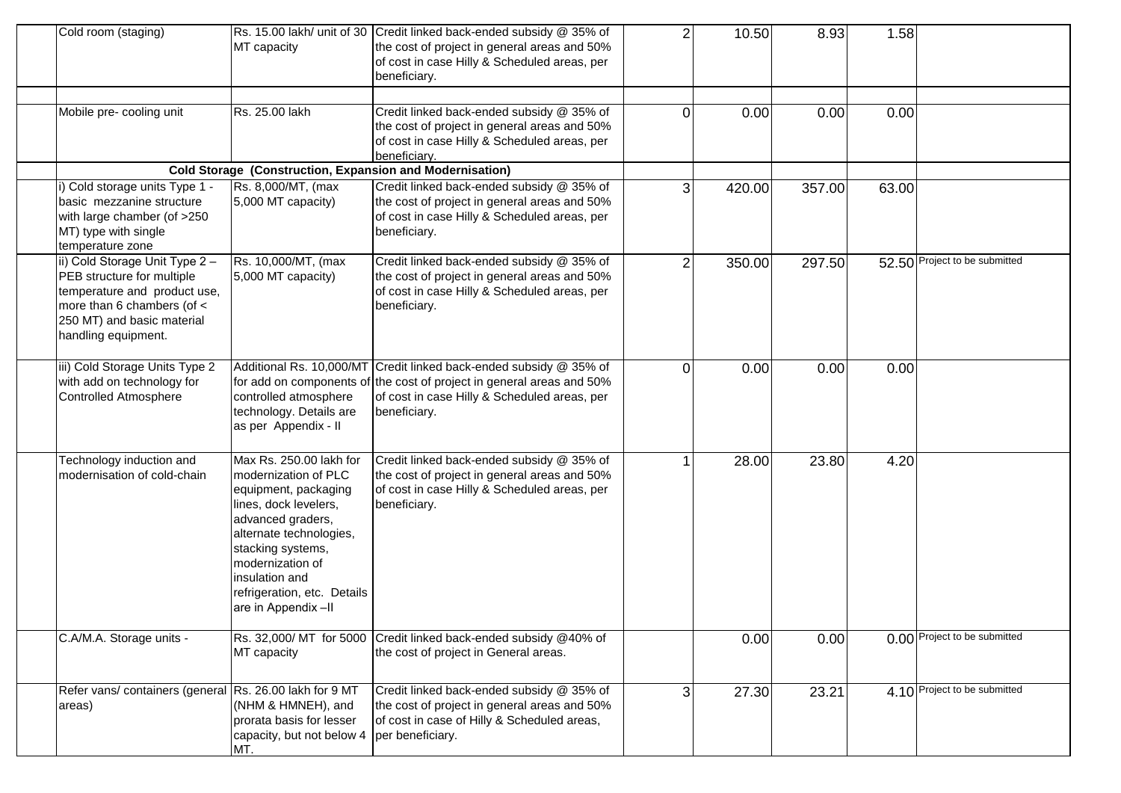| Cold room (staging)                                                                                                                                                                 | MT capacity                                                                                                                                                                                                                                                       | Rs. 15.00 lakh/ unit of 30 Credit linked back-ended subsidy @ 35% of<br>the cost of project in general areas and 50%<br>of cost in case Hilly & Scheduled areas, per<br>beneficiary.                        | $\overline{2}$ | 10.50  | 8.93   | 1.58  |                               |
|-------------------------------------------------------------------------------------------------------------------------------------------------------------------------------------|-------------------------------------------------------------------------------------------------------------------------------------------------------------------------------------------------------------------------------------------------------------------|-------------------------------------------------------------------------------------------------------------------------------------------------------------------------------------------------------------|----------------|--------|--------|-------|-------------------------------|
| Mobile pre- cooling unit                                                                                                                                                            | Rs. 25.00 lakh                                                                                                                                                                                                                                                    | Credit linked back-ended subsidy @ 35% of<br>the cost of project in general areas and 50%<br>of cost in case Hilly & Scheduled areas, per<br>beneficiary.                                                   | 0              | 0.00   | 0.00   | 0.00  |                               |
|                                                                                                                                                                                     | <b>Cold Storage (Construction, Expansion and Modernisation)</b>                                                                                                                                                                                                   |                                                                                                                                                                                                             |                |        |        |       |                               |
| i) Cold storage units Type 1 -<br>basic mezzanine structure<br>with large chamber (of >250<br>MT) type with single<br>temperature zone                                              | Rs. 8,000/MT, (max<br>5,000 MT capacity)                                                                                                                                                                                                                          | Credit linked back-ended subsidy @ 35% of<br>the cost of project in general areas and 50%<br>of cost in case Hilly & Scheduled areas, per<br>beneficiary.                                                   | 3              | 420.00 | 357.00 | 63.00 |                               |
| ii) Cold Storage Unit Type 2 -<br>PEB structure for multiple<br>temperature and product use,<br>more than 6 chambers (of $\lt$<br>250 MT) and basic material<br>handling equipment. | Rs. 10,000/MT, (max<br>5,000 MT capacity)                                                                                                                                                                                                                         | Credit linked back-ended subsidy @ 35% of<br>the cost of project in general areas and 50%<br>of cost in case Hilly & Scheduled areas, per<br>beneficiary.                                                   | 2              | 350.00 | 297.50 |       | 52.50 Project to be submitted |
| iii) Cold Storage Units Type 2<br>with add on technology for<br>Controlled Atmosphere                                                                                               | controlled atmosphere<br>technology. Details are<br>as per Appendix - II                                                                                                                                                                                          | Additional Rs. 10,000/MT Credit linked back-ended subsidy @ 35% of<br>for add on components of the cost of project in general areas and 50%<br>of cost in case Hilly & Scheduled areas, per<br>beneficiary. | 0              | 0.00   | 0.00   | 0.00  |                               |
| Technology induction and<br>modernisation of cold-chain                                                                                                                             | Max Rs. 250.00 lakh for<br>modernization of PLC<br>equipment, packaging<br>lines, dock levelers,<br>advanced graders,<br>alternate technologies,<br>stacking systems,<br>modernization of<br>linsulation and<br>refrigeration, etc. Details<br>are in Appendix-II | Credit linked back-ended subsidy @ 35% of<br>the cost of project in general areas and 50%<br>of cost in case Hilly & Scheduled areas, per<br>beneficiary.                                                   |                | 28.00  | 23.80  | 4.20  |                               |
| C.A/M.A. Storage units -                                                                                                                                                            | MT capacity                                                                                                                                                                                                                                                       | Rs. 32,000/ MT for 5000 Credit linked back-ended subsidy @40% of<br>the cost of project in General areas.                                                                                                   |                | 0.00   | 0.00   |       | 0.00 Project to be submitted  |
| Refer vans/ containers (general Rs. 26.00 lakh for 9 MT<br>areas)                                                                                                                   | (NHM & HMNEH), and<br>prorata basis for lesser<br>capacity, but not below 4<br>MT.                                                                                                                                                                                | Credit linked back-ended subsidy @ 35% of<br>the cost of project in general areas and 50%<br>of cost in case of Hilly & Scheduled areas,<br>per beneficiary.                                                | 3              | 27.30  | 23.21  |       | 4.10 Project to be submitted  |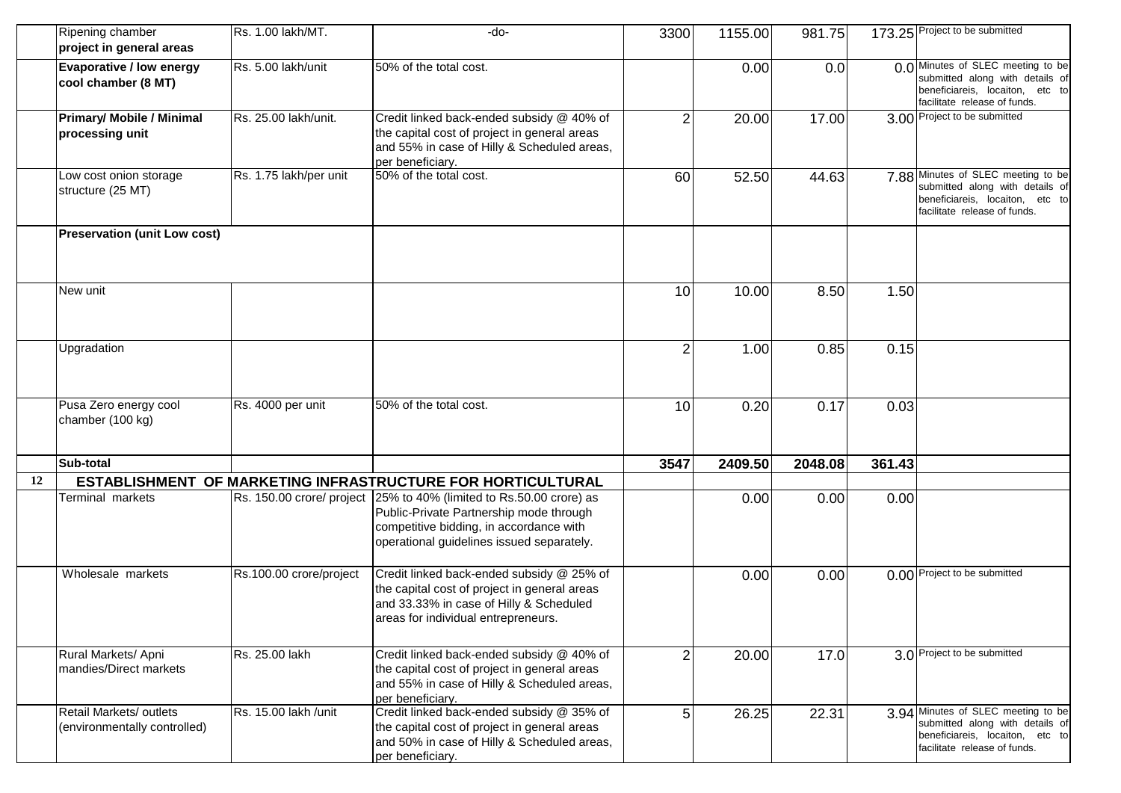|    | Ripening chamber<br>project in general areas            | Rs. 1.00 lakh/MT.       | $-do-$                                                                                                                                                                                                 | 3300           | 1155.00 | 981.75  |        | 173.25 Project to be submitted                                                                                                           |
|----|---------------------------------------------------------|-------------------------|--------------------------------------------------------------------------------------------------------------------------------------------------------------------------------------------------------|----------------|---------|---------|--------|------------------------------------------------------------------------------------------------------------------------------------------|
|    | Evaporative / low energy<br>cool chamber (8 MT)         | Rs. 5.00 lakh/unit      | 50% of the total cost.                                                                                                                                                                                 |                | 0.00    | 0.0     |        | 0.0 Minutes of SLEC meeting to be<br>submitted along with details of<br>beneficiareis, locaiton, etc to<br>facilitate release of funds.  |
|    | <b>Primary/ Mobile / Minimal</b><br>processing unit     | Rs. 25.00 lakh/unit.    | Credit linked back-ended subsidy @ 40% of<br>the capital cost of project in general areas<br>and 55% in case of Hilly & Scheduled areas,<br>per beneficiary.                                           | $\overline{2}$ | 20.00   | 17.00   |        | 3.00 Project to be submitted                                                                                                             |
|    | Low cost onion storage<br>structure (25 MT)             | Rs. 1.75 lakh/per unit  | 50% of the total cost.                                                                                                                                                                                 | 60             | 52.50   | 44.63   |        | 7.88 Minutes of SLEC meeting to be<br>submitted along with details of<br>beneficiareis, locaiton, etc to<br>facilitate release of funds. |
|    | <b>Preservation (unit Low cost)</b>                     |                         |                                                                                                                                                                                                        |                |         |         |        |                                                                                                                                          |
|    | New unit                                                |                         |                                                                                                                                                                                                        | 10             | 10.00   | 8.50    | 1.50   |                                                                                                                                          |
|    | Upgradation                                             |                         |                                                                                                                                                                                                        | $\overline{2}$ | 1.00    | 0.85    | 0.15   |                                                                                                                                          |
|    | Pusa Zero energy cool<br>chamber (100 kg)               | Rs. 4000 per unit       | 50% of the total cost.                                                                                                                                                                                 | 10             | 0.20    | 0.17    | 0.03   |                                                                                                                                          |
|    | Sub-total                                               |                         |                                                                                                                                                                                                        | 3547           | 2409.50 | 2048.08 | 361.43 |                                                                                                                                          |
| 12 |                                                         |                         | ESTABLISHMENT OF MARKETING INFRASTRUCTURE FOR HORTICULTURAL                                                                                                                                            |                |         |         |        |                                                                                                                                          |
|    | Terminal markets                                        |                         | Rs. 150.00 crore/ project 25% to 40% (limited to Rs.50.00 crore) as<br>Public-Private Partnership mode through<br>competitive bidding, in accordance with<br>operational guidelines issued separately. |                | 0.00    | 0.00    | 0.00   |                                                                                                                                          |
|    | Wholesale markets                                       | Rs.100.00 crore/project | Credit linked back-ended subsidy @ 25% of<br>the capital cost of project in general areas<br>and 33.33% in case of Hilly & Scheduled<br>areas for individual entrepreneurs.                            |                | 0.00    | 0.00    |        | 0.00 Project to be submitted                                                                                                             |
|    | Rural Markets/ Apni<br>mandies/Direct markets           | Rs. 25.00 lakh          | Credit linked back-ended subsidy @ 40% of<br>the capital cost of project in general areas<br>and 55% in case of Hilly & Scheduled areas,<br>per beneficiary.                                           | $\overline{2}$ | 20.00   | 17.0    |        | 3.0 Project to be submitted                                                                                                              |
|    | Retail Markets/ outlets<br>(environmentally controlled) | Rs. 15.00 lakh /unit    | Credit linked back-ended subsidy @ 35% of<br>the capital cost of project in general areas<br>and 50% in case of Hilly & Scheduled areas,<br>per beneficiary.                                           | 5              | 26.25   | 22.31   |        | 3.94 Minutes of SLEC meeting to be<br>submitted along with details of<br>beneficiareis, locaiton, etc to<br>facilitate release of funds. |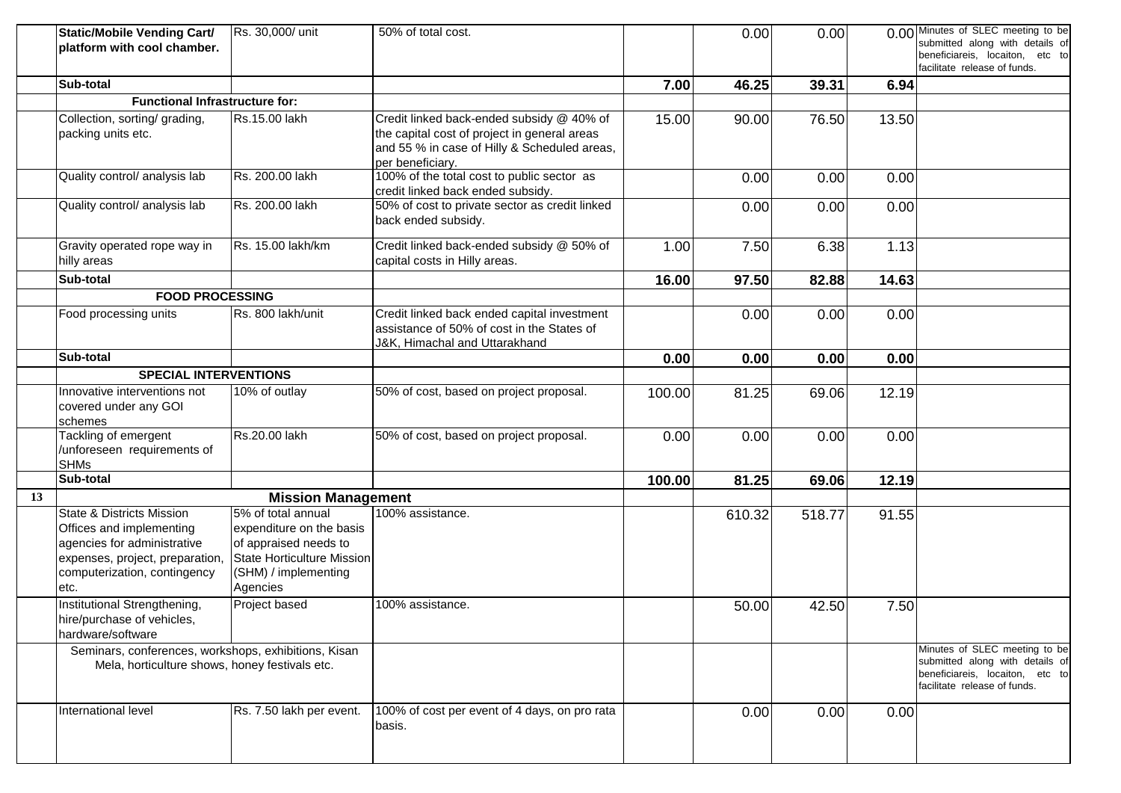|    | <b>Static/Mobile Vending Cart/</b><br>platform with cool chamber.                                                                                                          | Rs. 30,000/ unit                                                                                                                          | 50% of total cost.                                                                                                                                            |        | 0.00   | 0.00   |       | 0.00 Minutes of SLEC meeting to be<br>submitted along with details of<br>beneficiareis, locaiton, etc to<br>facilitate release of funds. |
|----|----------------------------------------------------------------------------------------------------------------------------------------------------------------------------|-------------------------------------------------------------------------------------------------------------------------------------------|---------------------------------------------------------------------------------------------------------------------------------------------------------------|--------|--------|--------|-------|------------------------------------------------------------------------------------------------------------------------------------------|
|    | Sub-total                                                                                                                                                                  |                                                                                                                                           |                                                                                                                                                               | 7.00   | 46.25  | 39.31  | 6.94  |                                                                                                                                          |
|    | <b>Functional Infrastructure for:</b>                                                                                                                                      |                                                                                                                                           |                                                                                                                                                               |        |        |        |       |                                                                                                                                          |
|    | Collection, sorting/ grading,<br>packing units etc.                                                                                                                        | Rs.15.00 lakh                                                                                                                             | Credit linked back-ended subsidy @ 40% of<br>the capital cost of project in general areas<br>and 55 % in case of Hilly & Scheduled areas,<br>per beneficiary. | 15.00  | 90.00  | 76.50  | 13.50 |                                                                                                                                          |
|    | Quality control/ analysis lab                                                                                                                                              | Rs. 200.00 lakh                                                                                                                           | 100% of the total cost to public sector as<br>credit linked back ended subsidy.                                                                               |        | 0.00   | 0.00   | 0.00  |                                                                                                                                          |
|    | Quality control/ analysis lab                                                                                                                                              | Rs. 200.00 lakh                                                                                                                           | 50% of cost to private sector as credit linked<br>back ended subsidy.                                                                                         |        | 0.00   | 0.00   | 0.00  |                                                                                                                                          |
|    | Gravity operated rope way in<br>hilly areas                                                                                                                                | Rs. 15.00 lakh/km                                                                                                                         | Credit linked back-ended subsidy @ 50% of<br>capital costs in Hilly areas.                                                                                    | 1.00   | 7.50   | 6.38   | 1.13  |                                                                                                                                          |
|    | Sub-total                                                                                                                                                                  |                                                                                                                                           |                                                                                                                                                               | 16.00  | 97.50  | 82.88  | 14.63 |                                                                                                                                          |
|    | <b>FOOD PROCESSING</b>                                                                                                                                                     |                                                                                                                                           |                                                                                                                                                               |        |        |        |       |                                                                                                                                          |
|    | Food processing units                                                                                                                                                      | Rs. 800 lakh/unit                                                                                                                         | Credit linked back ended capital investment<br>assistance of 50% of cost in the States of<br>J&K, Himachal and Uttarakhand                                    |        | 0.00   | 0.00   | 0.00  |                                                                                                                                          |
|    | Sub-total                                                                                                                                                                  |                                                                                                                                           |                                                                                                                                                               | 0.00   | 0.00   | 0.00   | 0.00  |                                                                                                                                          |
|    | <b>SPECIAL INTERVENTIONS</b>                                                                                                                                               |                                                                                                                                           |                                                                                                                                                               |        |        |        |       |                                                                                                                                          |
|    | Innovative interventions not<br>covered under any GOI<br>schemes                                                                                                           | 10% of outlay                                                                                                                             | 50% of cost, based on project proposal.                                                                                                                       | 100.00 | 81.25  | 69.06  | 12.19 |                                                                                                                                          |
|    | Tackling of emergent<br>/unforeseen requirements of<br><b>SHMs</b>                                                                                                         | Rs.20.00 lakh                                                                                                                             | 50% of cost, based on project proposal.                                                                                                                       | 0.00   | 0.00   | 0.00   | 0.00  |                                                                                                                                          |
|    | Sub-total                                                                                                                                                                  |                                                                                                                                           |                                                                                                                                                               | 100.00 | 81.25  | 69.06  | 12.19 |                                                                                                                                          |
| 13 |                                                                                                                                                                            | <b>Mission Management</b>                                                                                                                 |                                                                                                                                                               |        |        |        |       |                                                                                                                                          |
|    | <b>State &amp; Districts Mission</b><br>Offices and implementing<br>agencies for administrative<br>expenses, project, preparation,<br>computerization, contingency<br>etc. | 5% of total annual<br>expenditure on the basis<br>of appraised needs to<br>State Horticulture Mission<br>(SHM) / implementing<br>Agencies | 100% assistance.                                                                                                                                              |        | 610.32 | 518.77 | 91.55 |                                                                                                                                          |
|    | Institutional Strengthening,<br>hire/purchase of vehicles,<br>hardware/software                                                                                            | Project based                                                                                                                             | 100% assistance.                                                                                                                                              |        | 50.00  | 42.50  | 7.50  |                                                                                                                                          |
|    | Seminars, conferences, workshops, exhibitions, Kisan<br>Mela, horticulture shows, honey festivals etc.                                                                     |                                                                                                                                           |                                                                                                                                                               |        |        |        |       | Minutes of SLEC meeting to be<br>submitted along with details of<br>beneficiareis, locaiton, etc to<br>facilitate release of funds.      |
|    | International level                                                                                                                                                        | Rs. 7.50 lakh per event.                                                                                                                  | 100% of cost per event of 4 days, on pro rata<br>basis.                                                                                                       |        | 0.00   | 0.00   | 0.00  |                                                                                                                                          |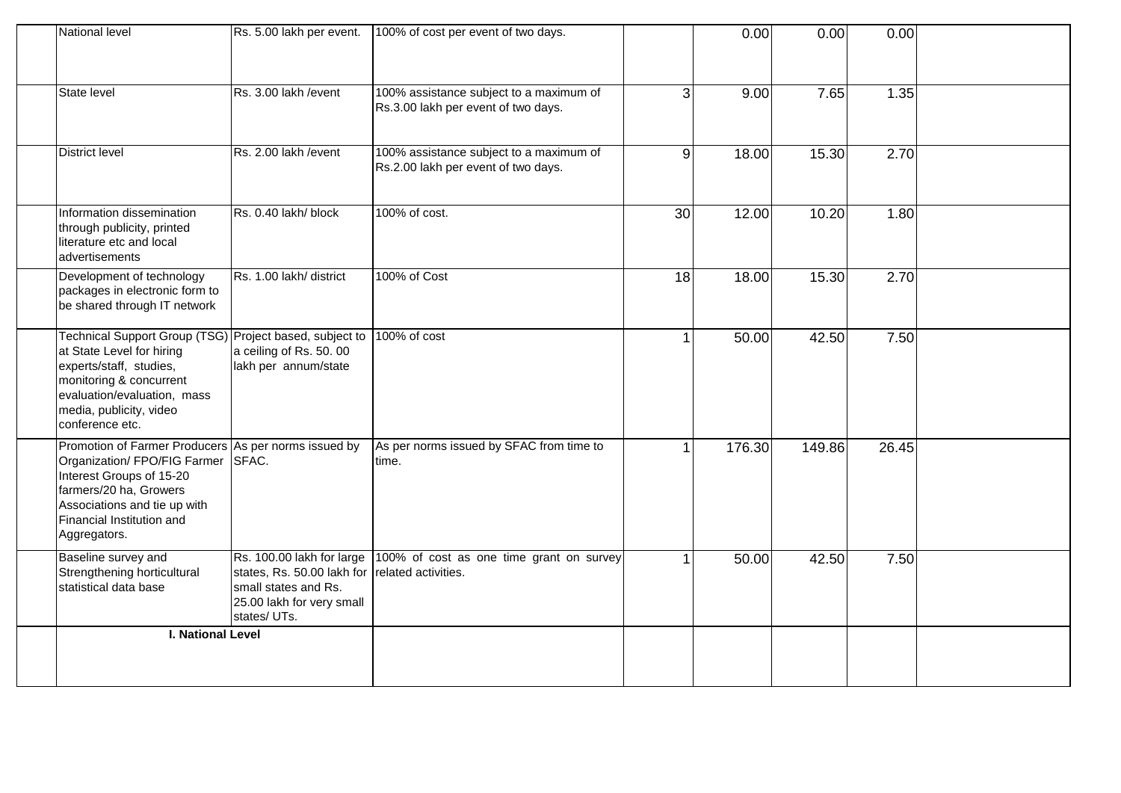| National level                                                                                                                                                                                                          | Rs. 5.00 lakh per event.                                                                                                    | 100% of cost per event of two days.                                            |                | 0.00   | 0.00   | 0.00  |  |
|-------------------------------------------------------------------------------------------------------------------------------------------------------------------------------------------------------------------------|-----------------------------------------------------------------------------------------------------------------------------|--------------------------------------------------------------------------------|----------------|--------|--------|-------|--|
| State level                                                                                                                                                                                                             | Rs. 3.00 lakh / event                                                                                                       | 100% assistance subject to a maximum of<br>Rs.3.00 lakh per event of two days. | 3              | 9.00   | 7.65   | 1.35  |  |
| <b>District level</b>                                                                                                                                                                                                   | Rs. 2.00 lakh / event                                                                                                       | 100% assistance subject to a maximum of<br>Rs.2.00 lakh per event of two days. | $\overline{9}$ | 18.00  | 15.30  | 2.70  |  |
| Information dissemination<br>through publicity, printed<br>literature etc and local<br>advertisements                                                                                                                   | Rs. 0.40 lakh/block                                                                                                         | 100% of cost.                                                                  | 30             | 12.00  | 10.20  | 1.80  |  |
| Development of technology<br>packages in electronic form to<br>be shared through IT network                                                                                                                             | Rs. 1.00 lakh/ district                                                                                                     | 100% of Cost                                                                   | 18             | 18.00  | 15.30  | 2.70  |  |
| Technical Support Group (TSG) Project based, subject to<br>at State Level for hiring<br>experts/staff, studies,<br>monitoring & concurrent<br>evaluation/evaluation, mass<br>media, publicity, video<br>conference etc. | a ceiling of Rs. 50.00<br>lakh per annum/state                                                                              | 100% of cost                                                                   |                | 50.00  | 42.50  | 7.50  |  |
| Promotion of Farmer Producers As per norms issued by<br>Organization/ FPO/FIG Farmer<br>Interest Groups of 15-20<br>farmers/20 ha, Growers<br>Associations and tie up with<br>Financial Institution and<br>Aggregators. | SFAC.                                                                                                                       | As per norms issued by SFAC from time to<br>time.                              |                | 176.30 | 149.86 | 26.45 |  |
| Baseline survey and<br>Strengthening horticultural<br>statistical data base                                                                                                                                             | Rs. 100.00 lakh for large<br>states, Rs. 50.00 lakh for<br>small states and Rs.<br>25.00 lakh for very small<br>states/UTs. | 100% of cost as one time grant on survey<br>related activities.                |                | 50.00  | 42.50  | 7.50  |  |
| <b>I. National Level</b>                                                                                                                                                                                                |                                                                                                                             |                                                                                |                |        |        |       |  |